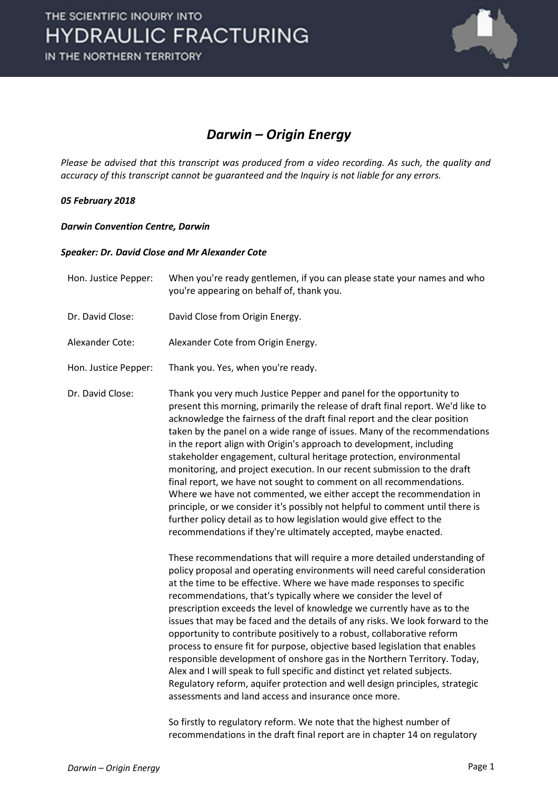

#### *Darwin – Origin Energy*

*Please be advised that this transcript was produced from a video recording. As such, the quality and accuracy of this transcript cannot be guaranteed and the Inquiry is not liable for any errors.*

#### *05 February 2018*

#### *Darwin Convention Centre, Darwin*

#### *Speaker: Dr. David Close and Mr Alexander Cote*

| you're appearing on behalf of, thank you.                                                                                                                                                                                                                                                                                                                                                                                                                                                                                                                                                                                                                                                                                                                                                                                                                                                                                                                                                       |
|-------------------------------------------------------------------------------------------------------------------------------------------------------------------------------------------------------------------------------------------------------------------------------------------------------------------------------------------------------------------------------------------------------------------------------------------------------------------------------------------------------------------------------------------------------------------------------------------------------------------------------------------------------------------------------------------------------------------------------------------------------------------------------------------------------------------------------------------------------------------------------------------------------------------------------------------------------------------------------------------------|
| David Close from Origin Energy.                                                                                                                                                                                                                                                                                                                                                                                                                                                                                                                                                                                                                                                                                                                                                                                                                                                                                                                                                                 |
| Alexander Cote from Origin Energy.                                                                                                                                                                                                                                                                                                                                                                                                                                                                                                                                                                                                                                                                                                                                                                                                                                                                                                                                                              |
| Thank you. Yes, when you're ready.                                                                                                                                                                                                                                                                                                                                                                                                                                                                                                                                                                                                                                                                                                                                                                                                                                                                                                                                                              |
| Thank you very much Justice Pepper and panel for the opportunity to<br>present this morning, primarily the release of draft final report. We'd like to<br>acknowledge the fairness of the draft final report and the clear position<br>taken by the panel on a wide range of issues. Many of the recommendations<br>in the report align with Origin's approach to development, including<br>stakeholder engagement, cultural heritage protection, environmental<br>monitoring, and project execution. In our recent submission to the draft<br>final report, we have not sought to comment on all recommendations.<br>Where we have not commented, we either accept the recommendation in<br>principle, or we consider it's possibly not helpful to comment until there is<br>further policy detail as to how legislation would give effect to the<br>recommendations if they're ultimately accepted, maybe enacted.                                                                            |
| These recommendations that will require a more detailed understanding of<br>policy proposal and operating environments will need careful consideration<br>at the time to be effective. Where we have made responses to specific<br>recommendations, that's typically where we consider the level of<br>prescription exceeds the level of knowledge we currently have as to the<br>issues that may be faced and the details of any risks. We look forward to the<br>opportunity to contribute positively to a robust, collaborative reform<br>process to ensure fit for purpose, objective based legislation that enables<br>responsible development of onshore gas in the Northern Territory. Today,<br>Alex and I will speak to full specific and distinct yet related subjects.<br>Regulatory reform, aquifer protection and well design principles, strategic<br>assessments and land access and insurance once more.<br>So firstly to regulatory reform. We note that the highest number of |
|                                                                                                                                                                                                                                                                                                                                                                                                                                                                                                                                                                                                                                                                                                                                                                                                                                                                                                                                                                                                 |

recommendations in the draft final report are in chapter 14 on regulatory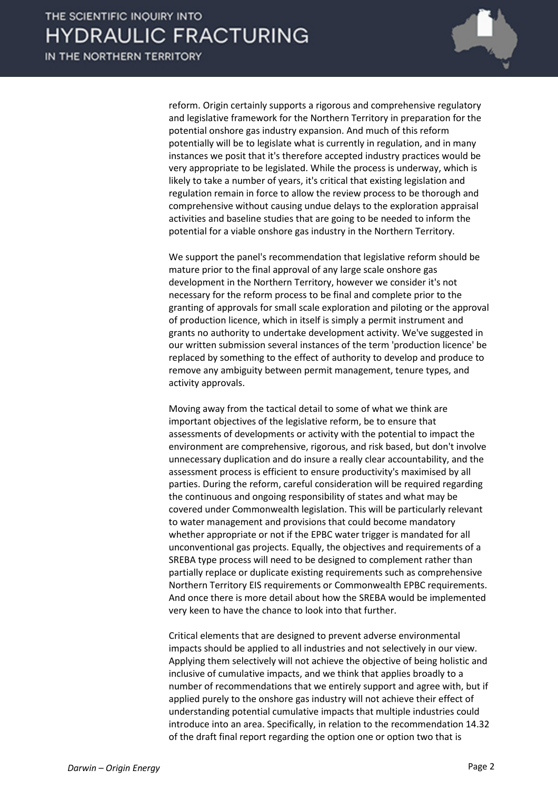

reform. Origin certainly supports a rigorous and comprehensive regulatory and legislative framework for the Northern Territory in preparation for the potential onshore gas industry expansion. And much of this reform potentially will be to legislate what is currently in regulation, and in many instances we posit that it's therefore accepted industry practices would be very appropriate to be legislated. While the process is underway, which is likely to take a number of years, it's critical that existing legislation and regulation remain in force to allow the review process to be thorough and comprehensive without causing undue delays to the exploration appraisal activities and baseline studies that are going to be needed to inform the potential for a viable onshore gas industry in the Northern Territory.

We support the panel's recommendation that legislative reform should be mature prior to the final approval of any large scale onshore gas development in the Northern Territory, however we consider it's not necessary for the reform process to be final and complete prior to the granting of approvals for small scale exploration and piloting or the approval of production licence, which in itself is simply a permit instrument and grants no authority to undertake development activity. We've suggested in our written submission several instances of the term 'production licence' be replaced by something to the effect of authority to develop and produce to remove any ambiguity between permit management, tenure types, and activity approvals.

Moving away from the tactical detail to some of what we think are important objectives of the legislative reform, be to ensure that assessments of developments or activity with the potential to impact the environment are comprehensive, rigorous, and risk based, but don't involve unnecessary duplication and do insure a really clear accountability, and the assessment process is efficient to ensure productivity's maximised by all parties. During the reform, careful consideration will be required regarding the continuous and ongoing responsibility of states and what may be covered under Commonwealth legislation. This will be particularly relevant to water management and provisions that could become mandatory whether appropriate or not if the EPBC water trigger is mandated for all unconventional gas projects. Equally, the objectives and requirements of a SREBA type process will need to be designed to complement rather than partially replace or duplicate existing requirements such as comprehensive Northern Territory EIS requirements or Commonwealth EPBC requirements. And once there is more detail about how the SREBA would be implemented very keen to have the chance to look into that further.

Critical elements that are designed to prevent adverse environmental impacts should be applied to all industries and not selectively in our view. Applying them selectively will not achieve the objective of being holistic and inclusive of cumulative impacts, and we think that applies broadly to a number of recommendations that we entirely support and agree with, but if applied purely to the onshore gas industry will not achieve their effect of understanding potential cumulative impacts that multiple industries could introduce into an area. Specifically, in relation to the recommendation 14.32 of the draft final report regarding the option one or option two that is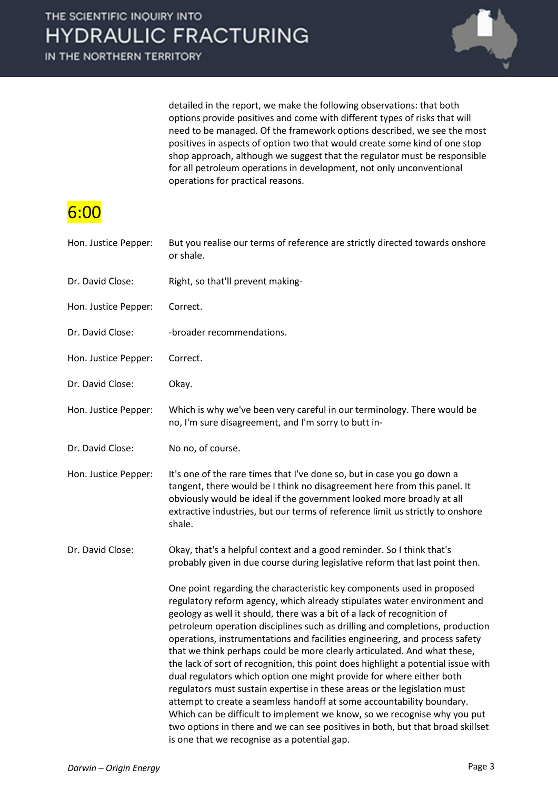

detailed in the report, we make the following observations: that both options provide positives and come with different types of risks that will need to be managed. Of the framework options described, we see the most positives in aspects of option two that would create some kind of one stop shop approach, although we suggest that the regulator must be responsible for all petroleum operations in development, not only unconventional operations for practical reasons.

### 6:00

| Hon. Justice Pepper: | But you realise our terms of reference are strictly directed towards onshore<br>or shale.                                                                                                                                                                                                                                                                                                                                                                                                                                                                                                                                                                                                                                                                                                                                                                                                                                                                                                               |
|----------------------|---------------------------------------------------------------------------------------------------------------------------------------------------------------------------------------------------------------------------------------------------------------------------------------------------------------------------------------------------------------------------------------------------------------------------------------------------------------------------------------------------------------------------------------------------------------------------------------------------------------------------------------------------------------------------------------------------------------------------------------------------------------------------------------------------------------------------------------------------------------------------------------------------------------------------------------------------------------------------------------------------------|
| Dr. David Close:     | Right, so that'll prevent making-                                                                                                                                                                                                                                                                                                                                                                                                                                                                                                                                                                                                                                                                                                                                                                                                                                                                                                                                                                       |
| Hon. Justice Pepper: | Correct.                                                                                                                                                                                                                                                                                                                                                                                                                                                                                                                                                                                                                                                                                                                                                                                                                                                                                                                                                                                                |
| Dr. David Close:     | -broader recommendations.                                                                                                                                                                                                                                                                                                                                                                                                                                                                                                                                                                                                                                                                                                                                                                                                                                                                                                                                                                               |
| Hon. Justice Pepper: | Correct.                                                                                                                                                                                                                                                                                                                                                                                                                                                                                                                                                                                                                                                                                                                                                                                                                                                                                                                                                                                                |
| Dr. David Close:     | Okay.                                                                                                                                                                                                                                                                                                                                                                                                                                                                                                                                                                                                                                                                                                                                                                                                                                                                                                                                                                                                   |
| Hon. Justice Pepper: | Which is why we've been very careful in our terminology. There would be<br>no, I'm sure disagreement, and I'm sorry to butt in-                                                                                                                                                                                                                                                                                                                                                                                                                                                                                                                                                                                                                                                                                                                                                                                                                                                                         |
| Dr. David Close:     | No no, of course.                                                                                                                                                                                                                                                                                                                                                                                                                                                                                                                                                                                                                                                                                                                                                                                                                                                                                                                                                                                       |
| Hon. Justice Pepper: | It's one of the rare times that I've done so, but in case you go down a<br>tangent, there would be I think no disagreement here from this panel. It<br>obviously would be ideal if the government looked more broadly at all<br>extractive industries, but our terms of reference limit us strictly to onshore<br>shale.                                                                                                                                                                                                                                                                                                                                                                                                                                                                                                                                                                                                                                                                                |
| Dr. David Close:     | Okay, that's a helpful context and a good reminder. So I think that's<br>probably given in due course during legislative reform that last point then.                                                                                                                                                                                                                                                                                                                                                                                                                                                                                                                                                                                                                                                                                                                                                                                                                                                   |
|                      | One point regarding the characteristic key components used in proposed<br>regulatory reform agency, which already stipulates water environment and<br>geology as well it should, there was a bit of a lack of recognition of<br>petroleum operation disciplines such as drilling and completions, production<br>operations, instrumentations and facilities engineering, and process safety<br>that we think perhaps could be more clearly articulated. And what these,<br>the lack of sort of recognition, this point does highlight a potential issue with<br>dual regulators which option one might provide for where either both<br>regulators must sustain expertise in these areas or the legislation must<br>attempt to create a seamless handoff at some accountability boundary.<br>Which can be difficult to implement we know, so we recognise why you put<br>two options in there and we can see positives in both, but that broad skillset<br>is one that we recognise as a potential gap. |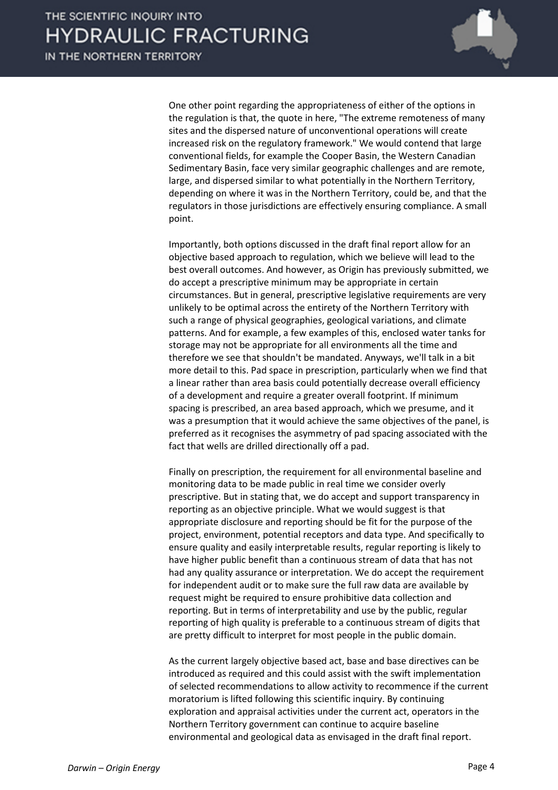

One other point regarding the appropriateness of either of the options in the regulation is that, the quote in here, "The extreme remoteness of many sites and the dispersed nature of unconventional operations will create increased risk on the regulatory framework." We would contend that large conventional fields, for example the Cooper Basin, the Western Canadian Sedimentary Basin, face very similar geographic challenges and are remote, large, and dispersed similar to what potentially in the Northern Territory, depending on where it was in the Northern Territory, could be, and that the regulators in those jurisdictions are effectively ensuring compliance. A small point.

Importantly, both options discussed in the draft final report allow for an objective based approach to regulation, which we believe will lead to the best overall outcomes. And however, as Origin has previously submitted, we do accept a prescriptive minimum may be appropriate in certain circumstances. But in general, prescriptive legislative requirements are very unlikely to be optimal across the entirety of the Northern Territory with such a range of physical geographies, geological variations, and climate patterns. And for example, a few examples of this, enclosed water tanks for storage may not be appropriate for all environments all the time and therefore we see that shouldn't be mandated. Anyways, we'll talk in a bit more detail to this. Pad space in prescription, particularly when we find that a linear rather than area basis could potentially decrease overall efficiency of a development and require a greater overall footprint. If minimum spacing is prescribed, an area based approach, which we presume, and it was a presumption that it would achieve the same objectives of the panel, is preferred as it recognises the asymmetry of pad spacing associated with the fact that wells are drilled directionally off a pad.

Finally on prescription, the requirement for all environmental baseline and monitoring data to be made public in real time we consider overly prescriptive. But in stating that, we do accept and support transparency in reporting as an objective principle. What we would suggest is that appropriate disclosure and reporting should be fit for the purpose of the project, environment, potential receptors and data type. And specifically to ensure quality and easily interpretable results, regular reporting is likely to have higher public benefit than a continuous stream of data that has not had any quality assurance or interpretation. We do accept the requirement for independent audit or to make sure the full raw data are available by request might be required to ensure prohibitive data collection and reporting. But in terms of interpretability and use by the public, regular reporting of high quality is preferable to a continuous stream of digits that are pretty difficult to interpret for most people in the public domain.

As the current largely objective based act, base and base directives can be introduced as required and this could assist with the swift implementation of selected recommendations to allow activity to recommence if the current moratorium is lifted following this scientific inquiry. By continuing exploration and appraisal activities under the current act, operators in the Northern Territory government can continue to acquire baseline environmental and geological data as envisaged in the draft final report.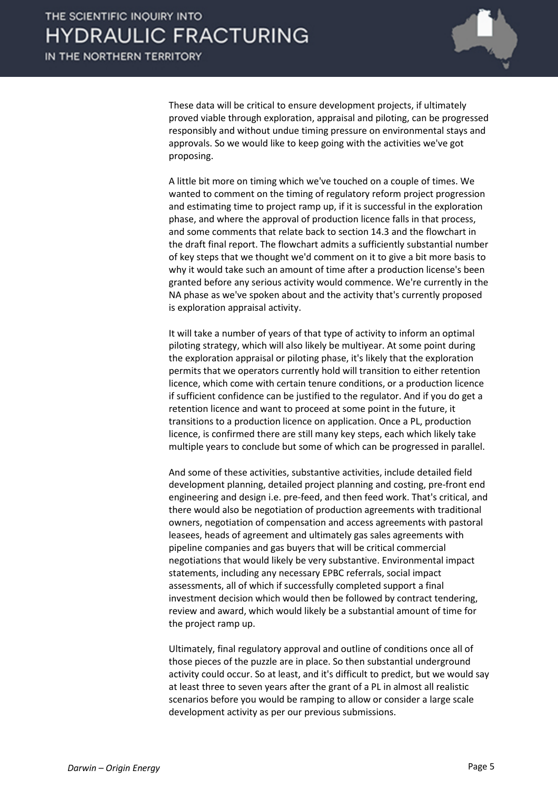

These data will be critical to ensure development projects, if ultimately proved viable through exploration, appraisal and piloting, can be progressed responsibly and without undue timing pressure on environmental stays and approvals. So we would like to keep going with the activities we've got proposing.

A little bit more on timing which we've touched on a couple of times. We wanted to comment on the timing of regulatory reform project progression and estimating time to project ramp up, if it is successful in the exploration phase, and where the approval of production licence falls in that process, and some comments that relate back to section 14.3 and the flowchart in the draft final report. The flowchart admits a sufficiently substantial number of key steps that we thought we'd comment on it to give a bit more basis to why it would take such an amount of time after a production license's been granted before any serious activity would commence. We're currently in the NA phase as we've spoken about and the activity that's currently proposed is exploration appraisal activity.

It will take a number of years of that type of activity to inform an optimal piloting strategy, which will also likely be multiyear. At some point during the exploration appraisal or piloting phase, it's likely that the exploration permits that we operators currently hold will transition to either retention licence, which come with certain tenure conditions, or a production licence if sufficient confidence can be justified to the regulator. And if you do get a retention licence and want to proceed at some point in the future, it transitions to a production licence on application. Once a PL, production licence, is confirmed there are still many key steps, each which likely take multiple years to conclude but some of which can be progressed in parallel.

And some of these activities, substantive activities, include detailed field development planning, detailed project planning and costing, pre-front end engineering and design i.e. pre-feed, and then feed work. That's critical, and there would also be negotiation of production agreements with traditional owners, negotiation of compensation and access agreements with pastoral leasees, heads of agreement and ultimately gas sales agreements with pipeline companies and gas buyers that will be critical commercial negotiations that would likely be very substantive. Environmental impact statements, including any necessary EPBC referrals, social impact assessments, all of which if successfully completed support a final investment decision which would then be followed by contract tendering, review and award, which would likely be a substantial amount of time for the project ramp up.

Ultimately, final regulatory approval and outline of conditions once all of those pieces of the puzzle are in place. So then substantial underground activity could occur. So at least, and it's difficult to predict, but we would say at least three to seven years after the grant of a PL in almost all realistic scenarios before you would be ramping to allow or consider a large scale development activity as per our previous submissions.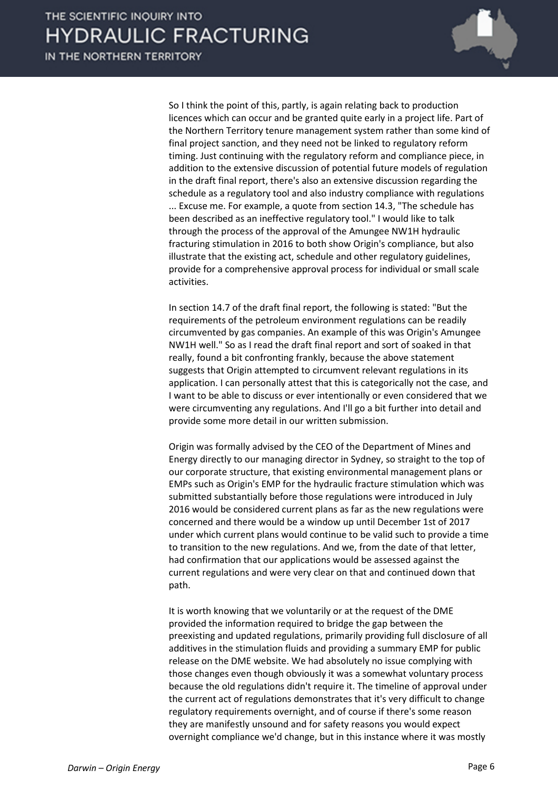

So I think the point of this, partly, is again relating back to production licences which can occur and be granted quite early in a project life. Part of the Northern Territory tenure management system rather than some kind of final project sanction, and they need not be linked to regulatory reform timing. Just continuing with the regulatory reform and compliance piece, in addition to the extensive discussion of potential future models of regulation in the draft final report, there's also an extensive discussion regarding the schedule as a regulatory tool and also industry compliance with regulations ... Excuse me. For example, a quote from section 14.3, "The schedule has been described as an ineffective regulatory tool." I would like to talk through the process of the approval of the Amungee NW1H hydraulic fracturing stimulation in 2016 to both show Origin's compliance, but also illustrate that the existing act, schedule and other regulatory guidelines, provide for a comprehensive approval process for individual or small scale activities.

In section 14.7 of the draft final report, the following is stated: "But the requirements of the petroleum environment regulations can be readily circumvented by gas companies. An example of this was Origin's Amungee NW1H well." So as I read the draft final report and sort of soaked in that really, found a bit confronting frankly, because the above statement suggests that Origin attempted to circumvent relevant regulations in its application. I can personally attest that this is categorically not the case, and I want to be able to discuss or ever intentionally or even considered that we were circumventing any regulations. And I'll go a bit further into detail and provide some more detail in our written submission.

Origin was formally advised by the CEO of the Department of Mines and Energy directly to our managing director in Sydney, so straight to the top of our corporate structure, that existing environmental management plans or EMPs such as Origin's EMP for the hydraulic fracture stimulation which was submitted substantially before those regulations were introduced in July 2016 would be considered current plans as far as the new regulations were concerned and there would be a window up until December 1st of 2017 under which current plans would continue to be valid such to provide a time to transition to the new regulations. And we, from the date of that letter, had confirmation that our applications would be assessed against the current regulations and were very clear on that and continued down that path.

It is worth knowing that we voluntarily or at the request of the DME provided the information required to bridge the gap between the preexisting and updated regulations, primarily providing full disclosure of all additives in the stimulation fluids and providing a summary EMP for public release on the DME website. We had absolutely no issue complying with those changes even though obviously it was a somewhat voluntary process because the old regulations didn't require it. The timeline of approval under the current act of regulations demonstrates that it's very difficult to change regulatory requirements overnight, and of course if there's some reason they are manifestly unsound and for safety reasons you would expect overnight compliance we'd change, but in this instance where it was mostly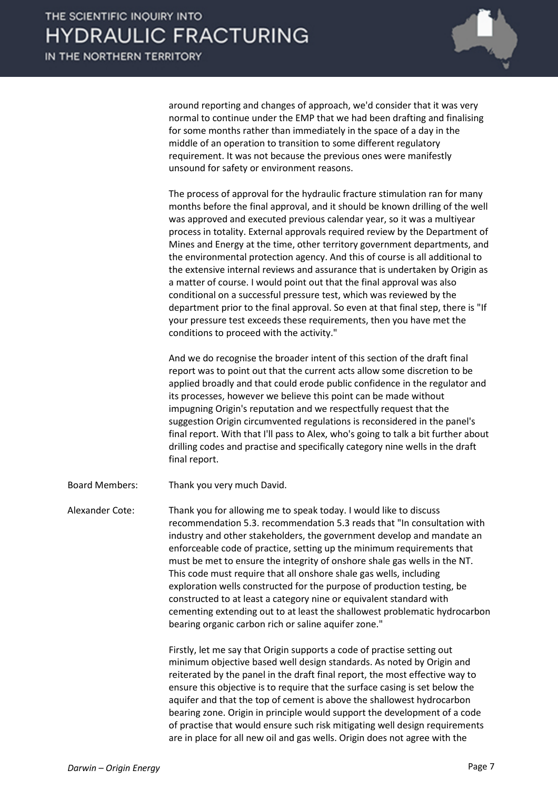

around reporting and changes of approach, we'd consider that it was very normal to continue under the EMP that we had been drafting and finalising for some months rather than immediately in the space of a day in the middle of an operation to transition to some different regulatory requirement. It was not because the previous ones were manifestly unsound for safety or environment reasons.

The process of approval for the hydraulic fracture stimulation ran for many months before the final approval, and it should be known drilling of the well was approved and executed previous calendar year, so it was a multiyear process in totality. External approvals required review by the Department of Mines and Energy at the time, other territory government departments, and the environmental protection agency. And this of course is all additional to the extensive internal reviews and assurance that is undertaken by Origin as a matter of course. I would point out that the final approval was also conditional on a successful pressure test, which was reviewed by the department prior to the final approval. So even at that final step, there is "If your pressure test exceeds these requirements, then you have met the conditions to proceed with the activity."

And we do recognise the broader intent of this section of the draft final report was to point out that the current acts allow some discretion to be applied broadly and that could erode public confidence in the regulator and its processes, however we believe this point can be made without impugning Origin's reputation and we respectfully request that the suggestion Origin circumvented regulations is reconsidered in the panel's final report. With that I'll pass to Alex, who's going to talk a bit further about drilling codes and practise and specifically category nine wells in the draft final report.

Board Members: Thank you very much David.

Alexander Cote: Thank you for allowing me to speak today. I would like to discuss recommendation 5.3. recommendation 5.3 reads that "In consultation with industry and other stakeholders, the government develop and mandate an enforceable code of practice, setting up the minimum requirements that must be met to ensure the integrity of onshore shale gas wells in the NT. This code must require that all onshore shale gas wells, including exploration wells constructed for the purpose of production testing, be constructed to at least a category nine or equivalent standard with cementing extending out to at least the shallowest problematic hydrocarbon bearing organic carbon rich or saline aquifer zone."

> Firstly, let me say that Origin supports a code of practise setting out minimum objective based well design standards. As noted by Origin and reiterated by the panel in the draft final report, the most effective way to ensure this objective is to require that the surface casing is set below the aquifer and that the top of cement is above the shallowest hydrocarbon bearing zone. Origin in principle would support the development of a code of practise that would ensure such risk mitigating well design requirements are in place for all new oil and gas wells. Origin does not agree with the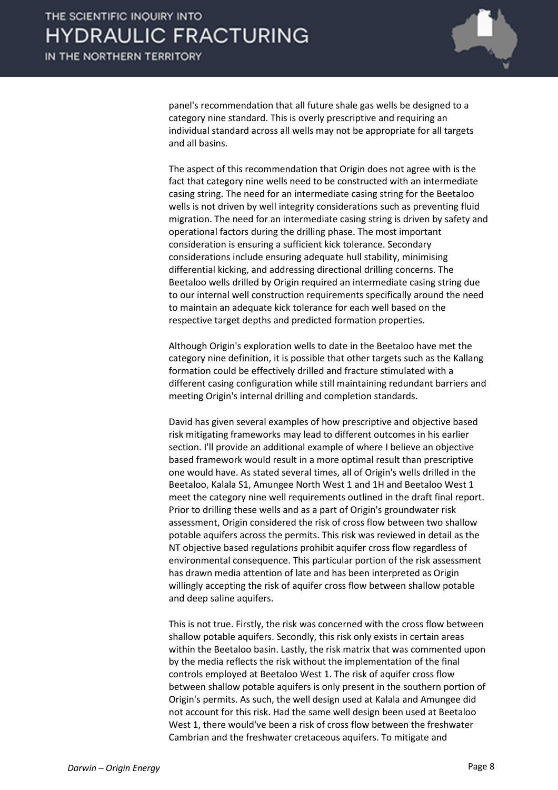

panel's recommendation that all future shale gas wells be designed to a category nine standard. This is overly prescriptive and requiring an individual standard across all wells may not be appropriate for all targets and all basins.

The aspect of this recommendation that Origin does not agree with is the fact that category nine wells need to be constructed with an intermediate casing string. The need for an intermediate casing string for the Beetaloo wells is not driven by well integrity considerations such as preventing fluid migration. The need for an intermediate casing string is driven by safety and operational factors during the drilling phase. The most important consideration is ensuring a sufficient kick tolerance. Secondary considerations include ensuring adequate hull stability, minimising differential kicking, and addressing directional drilling concerns. The Beetaloo wells drilled by Origin required an intermediate casing string due to our internal well construction requirements specifically around the need to maintain an adequate kick tolerance for each well based on the respective target depths and predicted formation properties.

Although Origin's exploration wells to date in the Beetaloo have met the category nine definition, it is possible that other targets such as the Kallang formation could be effectively drilled and fracture stimulated with a different casing configuration while still maintaining redundant barriers and meeting Origin's internal drilling and completion standards.

David has given several examples of how prescriptive and objective based risk mitigating frameworks may lead to different outcomes in his earlier section. I'll provide an additional example of where I believe an objective based framework would result in a more optimal result than prescriptive one would have. As stated several times, all of Origin's wells drilled in the Beetaloo, Kalala S1, Amungee North West 1 and 1H and Beetaloo West 1 meet the category nine well requirements outlined in the draft final report. Prior to drilling these wells and as a part of Origin's groundwater risk assessment, Origin considered the risk of cross flow between two shallow potable aquifers across the permits. This risk was reviewed in detail as the NT objective based regulations prohibit aquifer cross flow regardless of environmental consequence. This particular portion of the risk assessment has drawn media attention of late and has been interpreted as Origin willingly accepting the risk of aquifer cross flow between shallow potable and deep saline aquifers.

This is not true. Firstly, the risk was concerned with the cross flow between shallow potable aquifers. Secondly, this risk only exists in certain areas within the Beetaloo basin. Lastly, the risk matrix that was commented upon by the media reflects the risk without the implementation of the final controls employed at Beetaloo West 1. The risk of aquifer cross flow between shallow potable aquifers is only present in the southern portion of Origin's permits. As such, the well design used at Kalala and Amungee did not account for this risk. Had the same well design been used at Beetaloo West 1, there would've been a risk of cross flow between the freshwater Cambrian and the freshwater cretaceous aquifers. To mitigate and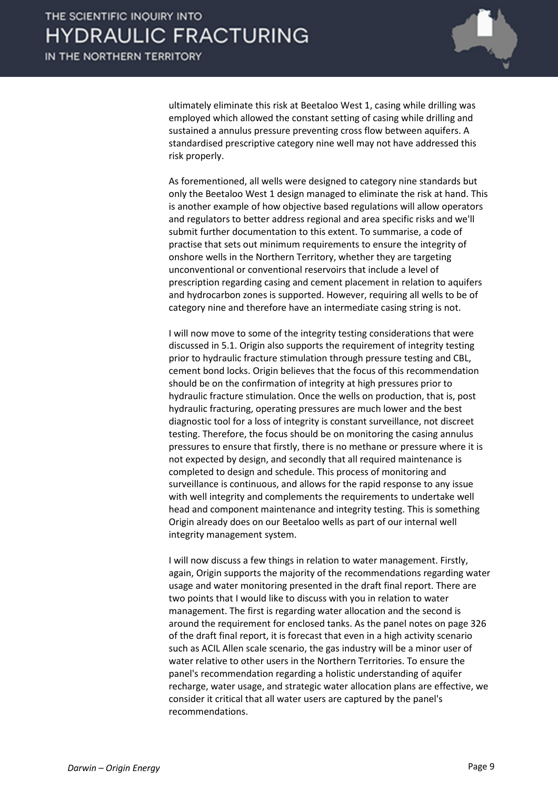

ultimately eliminate this risk at Beetaloo West 1, casing while drilling was employed which allowed the constant setting of casing while drilling and sustained a annulus pressure preventing cross flow between aquifers. A standardised prescriptive category nine well may not have addressed this risk properly.

As forementioned, all wells were designed to category nine standards but only the Beetaloo West 1 design managed to eliminate the risk at hand. This is another example of how objective based regulations will allow operators and regulators to better address regional and area specific risks and we'll submit further documentation to this extent. To summarise, a code of practise that sets out minimum requirements to ensure the integrity of onshore wells in the Northern Territory, whether they are targeting unconventional or conventional reservoirs that include a level of prescription regarding casing and cement placement in relation to aquifers and hydrocarbon zones is supported. However, requiring all wells to be of category nine and therefore have an intermediate casing string is not.

I will now move to some of the integrity testing considerations that were discussed in 5.1. Origin also supports the requirement of integrity testing prior to hydraulic fracture stimulation through pressure testing and CBL, cement bond locks. Origin believes that the focus of this recommendation should be on the confirmation of integrity at high pressures prior to hydraulic fracture stimulation. Once the wells on production, that is, post hydraulic fracturing, operating pressures are much lower and the best diagnostic tool for a loss of integrity is constant surveillance, not discreet testing. Therefore, the focus should be on monitoring the casing annulus pressures to ensure that firstly, there is no methane or pressure where it is not expected by design, and secondly that all required maintenance is completed to design and schedule. This process of monitoring and surveillance is continuous, and allows for the rapid response to any issue with well integrity and complements the requirements to undertake well head and component maintenance and integrity testing. This is something Origin already does on our Beetaloo wells as part of our internal well integrity management system.

I will now discuss a few things in relation to water management. Firstly, again, Origin supports the majority of the recommendations regarding water usage and water monitoring presented in the draft final report. There are two points that I would like to discuss with you in relation to water management. The first is regarding water allocation and the second is around the requirement for enclosed tanks. As the panel notes on page 326 of the draft final report, it is forecast that even in a high activity scenario such as ACIL Allen scale scenario, the gas industry will be a minor user of water relative to other users in the Northern Territories. To ensure the panel's recommendation regarding a holistic understanding of aquifer recharge, water usage, and strategic water allocation plans are effective, we consider it critical that all water users are captured by the panel's recommendations.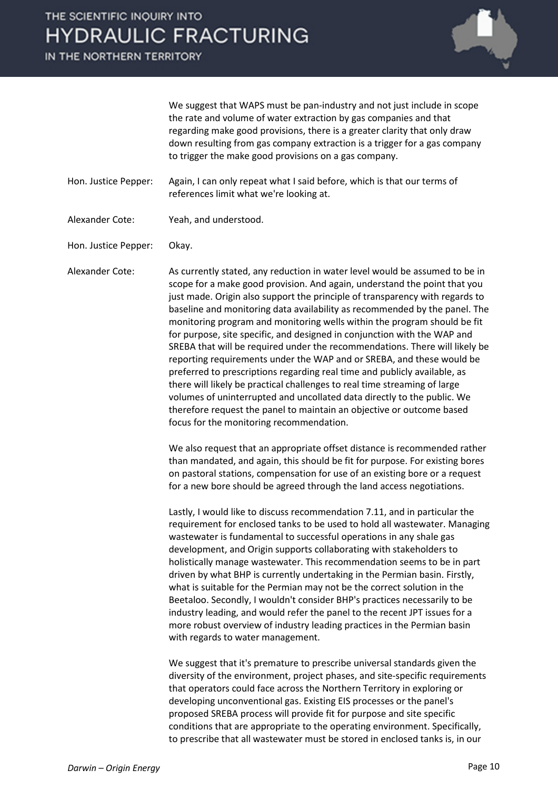

We suggest that WAPS must be pan-industry and not just include in scope the rate and volume of water extraction by gas companies and that regarding make good provisions, there is a greater clarity that only draw down resulting from gas company extraction is a trigger for a gas company to trigger the make good provisions on a gas company.

- Hon. Justice Pepper: Again, I can only repeat what I said before, which is that our terms of references limit what we're looking at.
- Alexander Cote: Yeah, and understood.

Hon. Justice Pepper: Okay.

Alexander Cote: As currently stated, any reduction in water level would be assumed to be in scope for a make good provision. And again, understand the point that you just made. Origin also support the principle of transparency with regards to baseline and monitoring data availability as recommended by the panel. The monitoring program and monitoring wells within the program should be fit for purpose, site specific, and designed in conjunction with the WAP and SREBA that will be required under the recommendations. There will likely be reporting requirements under the WAP and or SREBA, and these would be preferred to prescriptions regarding real time and publicly available, as there will likely be practical challenges to real time streaming of large volumes of uninterrupted and uncollated data directly to the public. We therefore request the panel to maintain an objective or outcome based focus for the monitoring recommendation.

> We also request that an appropriate offset distance is recommended rather than mandated, and again, this should be fit for purpose. For existing bores on pastoral stations, compensation for use of an existing bore or a request for a new bore should be agreed through the land access negotiations.

> Lastly, I would like to discuss recommendation 7.11, and in particular the requirement for enclosed tanks to be used to hold all wastewater. Managing wastewater is fundamental to successful operations in any shale gas development, and Origin supports collaborating with stakeholders to holistically manage wastewater. This recommendation seems to be in part driven by what BHP is currently undertaking in the Permian basin. Firstly, what is suitable for the Permian may not be the correct solution in the Beetaloo. Secondly, I wouldn't consider BHP's practices necessarily to be industry leading, and would refer the panel to the recent JPT issues for a more robust overview of industry leading practices in the Permian basin with regards to water management.

> We suggest that it's premature to prescribe universal standards given the diversity of the environment, project phases, and site-specific requirements that operators could face across the Northern Territory in exploring or developing unconventional gas. Existing EIS processes or the panel's proposed SREBA process will provide fit for purpose and site specific conditions that are appropriate to the operating environment. Specifically, to prescribe that all wastewater must be stored in enclosed tanks is, in our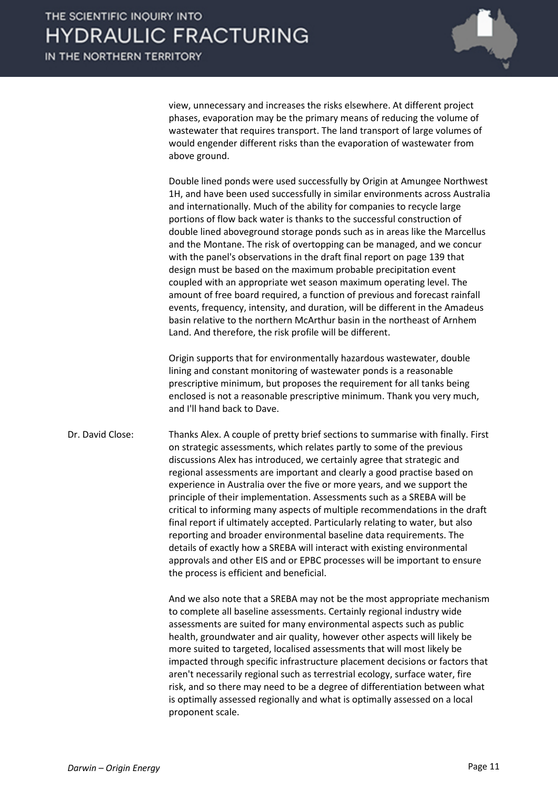view, unnecessary and increases the risks elsewhere. At different project phases, evaporation may be the primary means of reducing the volume of wastewater that requires transport. The land transport of large volumes of would engender different risks than the evaporation of wastewater from above ground.

Double lined ponds were used successfully by Origin at Amungee Northwest 1H, and have been used successfully in similar environments across Australia and internationally. Much of the ability for companies to recycle large portions of flow back water is thanks to the successful construction of double lined aboveground storage ponds such as in areas like the Marcellus and the Montane. The risk of overtopping can be managed, and we concur with the panel's observations in the draft final report on page 139 that design must be based on the maximum probable precipitation event coupled with an appropriate wet season maximum operating level. The amount of free board required, a function of previous and forecast rainfall events, frequency, intensity, and duration, will be different in the Amadeus basin relative to the northern McArthur basin in the northeast of Arnhem Land. And therefore, the risk profile will be different.

Origin supports that for environmentally hazardous wastewater, double lining and constant monitoring of wastewater ponds is a reasonable prescriptive minimum, but proposes the requirement for all tanks being enclosed is not a reasonable prescriptive minimum. Thank you very much, and I'll hand back to Dave.

Dr. David Close: Thanks Alex. A couple of pretty brief sections to summarise with finally. First on strategic assessments, which relates partly to some of the previous discussions Alex has introduced, we certainly agree that strategic and regional assessments are important and clearly a good practise based on experience in Australia over the five or more years, and we support the principle of their implementation. Assessments such as a SREBA will be critical to informing many aspects of multiple recommendations in the draft final report if ultimately accepted. Particularly relating to water, but also reporting and broader environmental baseline data requirements. The details of exactly how a SREBA will interact with existing environmental approvals and other EIS and or EPBC processes will be important to ensure the process is efficient and beneficial.

> And we also note that a SREBA may not be the most appropriate mechanism to complete all baseline assessments. Certainly regional industry wide assessments are suited for many environmental aspects such as public health, groundwater and air quality, however other aspects will likely be more suited to targeted, localised assessments that will most likely be impacted through specific infrastructure placement decisions or factors that aren't necessarily regional such as terrestrial ecology, surface water, fire risk, and so there may need to be a degree of differentiation between what is optimally assessed regionally and what is optimally assessed on a local proponent scale.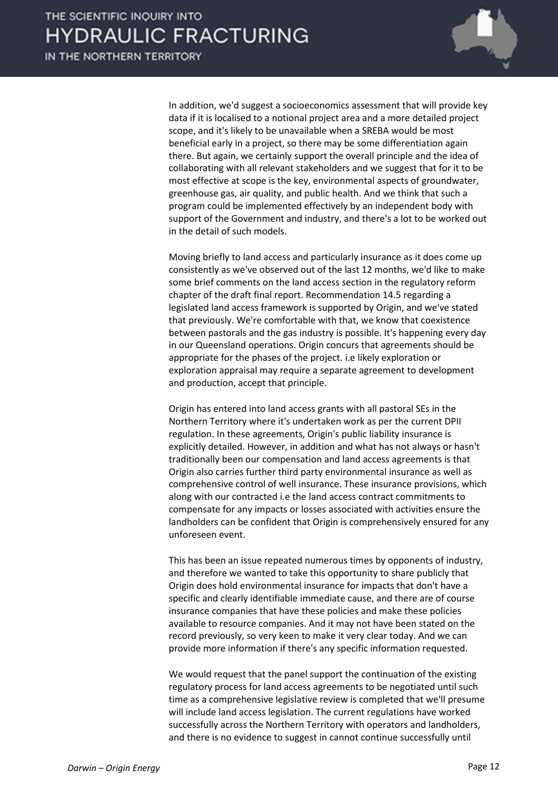

In addition, we'd suggest a socioeconomics assessment that will provide key data if it is localised to a notional project area and a more detailed project scope, and it's likely to be unavailable when a SREBA would be most beneficial early in a project, so there may be some differentiation again there. But again, we certainly support the overall principle and the idea of collaborating with all relevant stakeholders and we suggest that for it to be most effective at scope is the key, environmental aspects of groundwater, greenhouse gas, air quality, and public health. And we think that such a program could be implemented effectively by an independent body with support of the Government and industry, and there's a lot to be worked out in the detail of such models.

Moving briefly to land access and particularly insurance as it does come up consistently as we've observed out of the last 12 months, we'd like to make some brief comments on the land access section in the regulatory reform chapter of the draft final report. Recommendation 14.5 regarding a legislated land access framework is supported by Origin, and we've stated that previously. We're comfortable with that, we know that coexistence between pastorals and the gas industry is possible. It's happening every day in our Queensland operations. Origin concurs that agreements should be appropriate for the phases of the project. i.e likely exploration or exploration appraisal may require a separate agreement to development and production, accept that principle.

Origin has entered into land access grants with all pastoral SEs in the Northern Territory where it's undertaken work as per the current DPII regulation. In these agreements, Origin's public liability insurance is explicitly detailed. However, in addition and what has not always or hasn't traditionally been our compensation and land access agreements is that Origin also carries further third party environmental insurance as well as comprehensive control of well insurance. These insurance provisions, which along with our contracted i.e the land access contract commitments to compensate for any impacts or losses associated with activities ensure the landholders can be confident that Origin is comprehensively ensured for any unforeseen event.

This has been an issue repeated numerous times by opponents of industry, and therefore we wanted to take this opportunity to share publicly that Origin does hold environmental insurance for impacts that don't have a specific and clearly identifiable immediate cause, and there are of course insurance companies that have these policies and make these policies available to resource companies. And it may not have been stated on the record previously, so very keen to make it very clear today. And we can provide more information if there's any specific information requested.

We would request that the panel support the continuation of the existing regulatory process for land access agreements to be negotiated until such time as a comprehensive legislative review is completed that we'll presume will include land access legislation. The current regulations have worked successfully across the Northern Territory with operators and landholders, and there is no evidence to suggest in cannot continue successfully until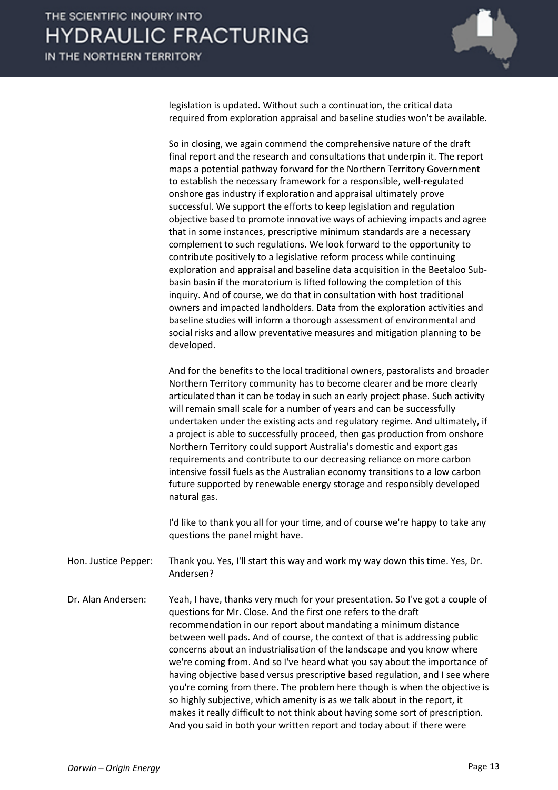

legislation is updated. Without such a continuation, the critical data required from exploration appraisal and baseline studies won't be available.

So in closing, we again commend the comprehensive nature of the draft final report and the research and consultations that underpin it. The report maps a potential pathway forward for the Northern Territory Government to establish the necessary framework for a responsible, well-regulated onshore gas industry if exploration and appraisal ultimately prove successful. We support the efforts to keep legislation and regulation objective based to promote innovative ways of achieving impacts and agree that in some instances, prescriptive minimum standards are a necessary complement to such regulations. We look forward to the opportunity to contribute positively to a legislative reform process while continuing exploration and appraisal and baseline data acquisition in the Beetaloo Subbasin basin if the moratorium is lifted following the completion of this inquiry. And of course, we do that in consultation with host traditional owners and impacted landholders. Data from the exploration activities and baseline studies will inform a thorough assessment of environmental and social risks and allow preventative measures and mitigation planning to be developed.

And for the benefits to the local traditional owners, pastoralists and broader Northern Territory community has to become clearer and be more clearly articulated than it can be today in such an early project phase. Such activity will remain small scale for a number of years and can be successfully undertaken under the existing acts and regulatory regime. And ultimately, if a project is able to successfully proceed, then gas production from onshore Northern Territory could support Australia's domestic and export gas requirements and contribute to our decreasing reliance on more carbon intensive fossil fuels as the Australian economy transitions to a low carbon future supported by renewable energy storage and responsibly developed natural gas.

I'd like to thank you all for your time, and of course we're happy to take any questions the panel might have.

Hon. Justice Pepper: Thank you. Yes, I'll start this way and work my way down this time. Yes, Dr. Andersen?

Dr. Alan Andersen: Yeah, I have, thanks very much for your presentation. So I've got a couple of questions for Mr. Close. And the first one refers to the draft recommendation in our report about mandating a minimum distance between well pads. And of course, the context of that is addressing public concerns about an industrialisation of the landscape and you know where we're coming from. And so I've heard what you say about the importance of having objective based versus prescriptive based regulation, and I see where you're coming from there. The problem here though is when the objective is so highly subjective, which amenity is as we talk about in the report, it makes it really difficult to not think about having some sort of prescription. And you said in both your written report and today about if there were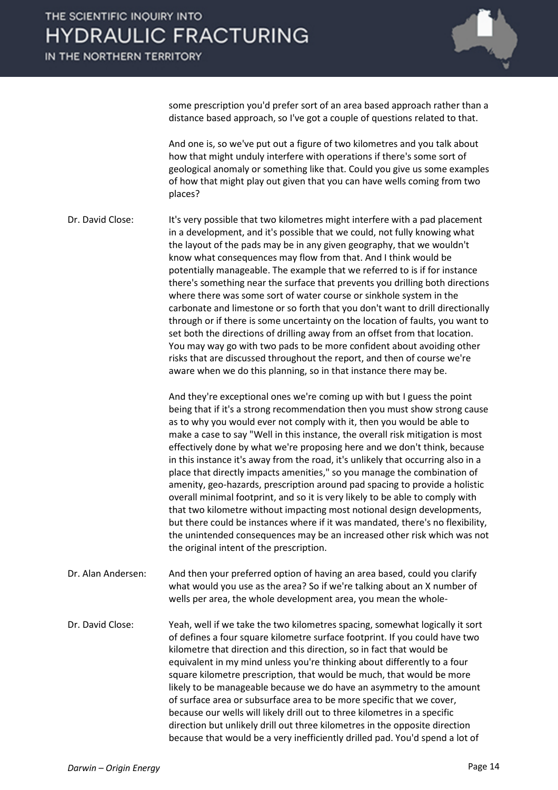

some prescription you'd prefer sort of an area based approach rather than a distance based approach, so I've got a couple of questions related to that.

And one is, so we've put out a figure of two kilometres and you talk about how that might unduly interfere with operations if there's some sort of geological anomaly or something like that. Could you give us some examples of how that might play out given that you can have wells coming from two places?

Dr. David Close: It's very possible that two kilometres might interfere with a pad placement in a development, and it's possible that we could, not fully knowing what the layout of the pads may be in any given geography, that we wouldn't know what consequences may flow from that. And I think would be potentially manageable. The example that we referred to is if for instance there's something near the surface that prevents you drilling both directions where there was some sort of water course or sinkhole system in the carbonate and limestone or so forth that you don't want to drill directionally through or if there is some uncertainty on the location of faults, you want to set both the directions of drilling away from an offset from that location. You may way go with two pads to be more confident about avoiding other risks that are discussed throughout the report, and then of course we're aware when we do this planning, so in that instance there may be.

> And they're exceptional ones we're coming up with but I guess the point being that if it's a strong recommendation then you must show strong cause as to why you would ever not comply with it, then you would be able to make a case to say "Well in this instance, the overall risk mitigation is most effectively done by what we're proposing here and we don't think, because in this instance it's away from the road, it's unlikely that occurring also in a place that directly impacts amenities," so you manage the combination of amenity, geo-hazards, prescription around pad spacing to provide a holistic overall minimal footprint, and so it is very likely to be able to comply with that two kilometre without impacting most notional design developments, but there could be instances where if it was mandated, there's no flexibility, the unintended consequences may be an increased other risk which was not the original intent of the prescription.

- Dr. Alan Andersen: And then your preferred option of having an area based, could you clarify what would you use as the area? So if we're talking about an X number of wells per area, the whole development area, you mean the whole-
- Dr. David Close: Yeah, well if we take the two kilometres spacing, somewhat logically it sort of defines a four square kilometre surface footprint. If you could have two kilometre that direction and this direction, so in fact that would be equivalent in my mind unless you're thinking about differently to a four square kilometre prescription, that would be much, that would be more likely to be manageable because we do have an asymmetry to the amount of surface area or subsurface area to be more specific that we cover, because our wells will likely drill out to three kilometres in a specific direction but unlikely drill out three kilometres in the opposite direction because that would be a very inefficiently drilled pad. You'd spend a lot of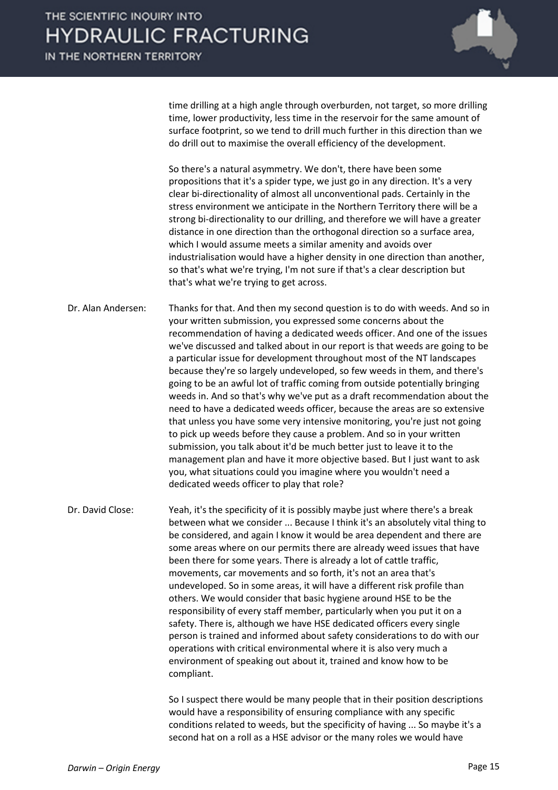

time drilling at a high angle through overburden, not target, so more drilling time, lower productivity, less time in the reservoir for the same amount of surface footprint, so we tend to drill much further in this direction than we do drill out to maximise the overall efficiency of the development.

So there's a natural asymmetry. We don't, there have been some propositions that it's a spider type, we just go in any direction. It's a very clear bi-directionality of almost all unconventional pads. Certainly in the stress environment we anticipate in the Northern Territory there will be a strong bi-directionality to our drilling, and therefore we will have a greater distance in one direction than the orthogonal direction so a surface area, which I would assume meets a similar amenity and avoids over industrialisation would have a higher density in one direction than another, so that's what we're trying, I'm not sure if that's a clear description but that's what we're trying to get across.

Dr. Alan Andersen: Thanks for that. And then my second question is to do with weeds. And so in your written submission, you expressed some concerns about the recommendation of having a dedicated weeds officer. And one of the issues we've discussed and talked about in our report is that weeds are going to be a particular issue for development throughout most of the NT landscapes because they're so largely undeveloped, so few weeds in them, and there's going to be an awful lot of traffic coming from outside potentially bringing weeds in. And so that's why we've put as a draft recommendation about the need to have a dedicated weeds officer, because the areas are so extensive that unless you have some very intensive monitoring, you're just not going to pick up weeds before they cause a problem. And so in your written submission, you talk about it'd be much better just to leave it to the management plan and have it more objective based. But I just want to ask you, what situations could you imagine where you wouldn't need a dedicated weeds officer to play that role?

Dr. David Close: Yeah, it's the specificity of it is possibly maybe just where there's a break between what we consider ... Because I think it's an absolutely vital thing to be considered, and again I know it would be area dependent and there are some areas where on our permits there are already weed issues that have been there for some years. There is already a lot of cattle traffic, movements, car movements and so forth, it's not an area that's undeveloped. So in some areas, it will have a different risk profile than others. We would consider that basic hygiene around HSE to be the responsibility of every staff member, particularly when you put it on a safety. There is, although we have HSE dedicated officers every single person is trained and informed about safety considerations to do with our operations with critical environmental where it is also very much a environment of speaking out about it, trained and know how to be compliant.

> So I suspect there would be many people that in their position descriptions would have a responsibility of ensuring compliance with any specific conditions related to weeds, but the specificity of having ... So maybe it's a second hat on a roll as a HSE advisor or the many roles we would have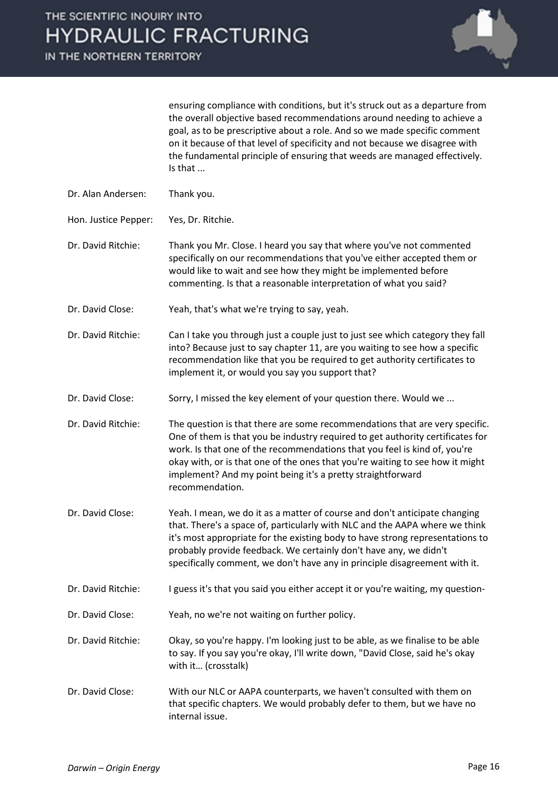

ensuring compliance with conditions, but it's struck out as a departure from the overall objective based recommendations around needing to achieve a goal, as to be prescriptive about a role. And so we made specific comment on it because of that level of specificity and not because we disagree with the fundamental principle of ensuring that weeds are managed effectively. Is that ...

- Dr. Alan Andersen: Thank you.
- Hon. Justice Pepper: Yes, Dr. Ritchie.

Dr. David Ritchie: Thank you Mr. Close. I heard you say that where you've not commented specifically on our recommendations that you've either accepted them or would like to wait and see how they might be implemented before commenting. Is that a reasonable interpretation of what you said?

Dr. David Close: Yeah, that's what we're trying to say, yeah.

Dr. David Ritchie: Can I take you through just a couple just to just see which category they fall into? Because just to say chapter 11, are you waiting to see how a specific recommendation like that you be required to get authority certificates to implement it, or would you say you support that?

Dr. David Close: Sorry, I missed the key element of your question there. Would we ...

Dr. David Ritchie: The question is that there are some recommendations that are very specific. One of them is that you be industry required to get authority certificates for work. Is that one of the recommendations that you feel is kind of, you're okay with, or is that one of the ones that you're waiting to see how it might implement? And my point being it's a pretty straightforward recommendation.

Dr. David Close: Yeah. I mean, we do it as a matter of course and don't anticipate changing that. There's a space of, particularly with NLC and the AAPA where we think it's most appropriate for the existing body to have strong representations to probably provide feedback. We certainly don't have any, we didn't specifically comment, we don't have any in principle disagreement with it.

- Dr. David Ritchie: I guess it's that you said you either accept it or you're waiting, my question-
- Dr. David Close: Yeah, no we're not waiting on further policy.

Dr. David Ritchie: Okay, so you're happy. I'm looking just to be able, as we finalise to be able to say. If you say you're okay, I'll write down, "David Close, said he's okay with it… (crosstalk)

Dr. David Close: With our NLC or AAPA counterparts, we haven't consulted with them on that specific chapters. We would probably defer to them, but we have no internal issue.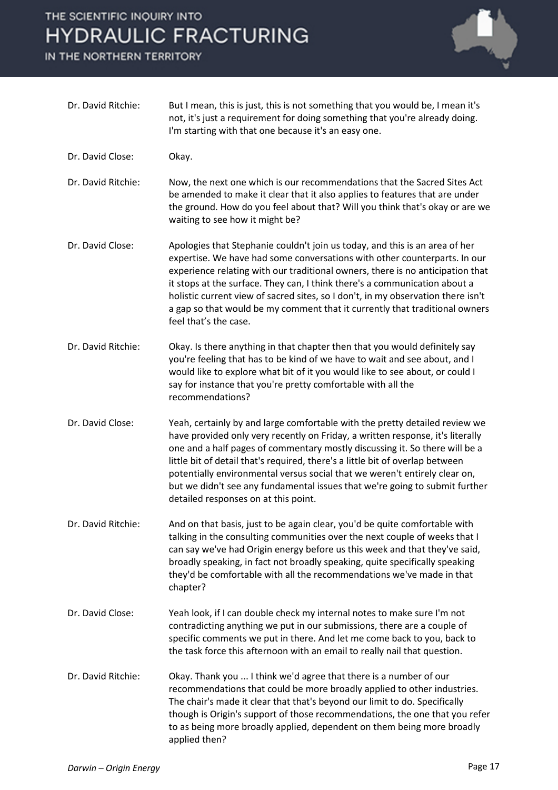IN THE NORTHERN TERRITORY



| Dr. David Ritchie: | But I mean, this is just, this is not something that you would be, I mean it's<br>not, it's just a requirement for doing something that you're already doing.<br>I'm starting with that one because it's an easy one.                                                                                                                                                                                                                                                                                                              |
|--------------------|------------------------------------------------------------------------------------------------------------------------------------------------------------------------------------------------------------------------------------------------------------------------------------------------------------------------------------------------------------------------------------------------------------------------------------------------------------------------------------------------------------------------------------|
| Dr. David Close:   | Okay.                                                                                                                                                                                                                                                                                                                                                                                                                                                                                                                              |
| Dr. David Ritchie: | Now, the next one which is our recommendations that the Sacred Sites Act<br>be amended to make it clear that it also applies to features that are under<br>the ground. How do you feel about that? Will you think that's okay or are we<br>waiting to see how it might be?                                                                                                                                                                                                                                                         |
| Dr. David Close:   | Apologies that Stephanie couldn't join us today, and this is an area of her<br>expertise. We have had some conversations with other counterparts. In our<br>experience relating with our traditional owners, there is no anticipation that<br>it stops at the surface. They can, I think there's a communication about a<br>holistic current view of sacred sites, so I don't, in my observation there isn't<br>a gap so that would be my comment that it currently that traditional owners<br>feel that's the case.               |
| Dr. David Ritchie: | Okay. Is there anything in that chapter then that you would definitely say<br>you're feeling that has to be kind of we have to wait and see about, and I<br>would like to explore what bit of it you would like to see about, or could I<br>say for instance that you're pretty comfortable with all the<br>recommendations?                                                                                                                                                                                                       |
| Dr. David Close:   | Yeah, certainly by and large comfortable with the pretty detailed review we<br>have provided only very recently on Friday, a written response, it's literally<br>one and a half pages of commentary mostly discussing it. So there will be a<br>little bit of detail that's required, there's a little bit of overlap between<br>potentially environmental versus social that we weren't entirely clear on,<br>but we didn't see any fundamental issues that we're going to submit further<br>detailed responses on at this point. |
| Dr. David Ritchie: | And on that basis, just to be again clear, you'd be quite comfortable with<br>talking in the consulting communities over the next couple of weeks that I<br>can say we've had Origin energy before us this week and that they've said,<br>broadly speaking, in fact not broadly speaking, quite specifically speaking<br>they'd be comfortable with all the recommendations we've made in that<br>chapter?                                                                                                                         |
| Dr. David Close:   | Yeah look, if I can double check my internal notes to make sure I'm not<br>contradicting anything we put in our submissions, there are a couple of<br>specific comments we put in there. And let me come back to you, back to<br>the task force this afternoon with an email to really nail that question.                                                                                                                                                                                                                         |
| Dr. David Ritchie: | Okay. Thank you  I think we'd agree that there is a number of our<br>recommendations that could be more broadly applied to other industries.<br>The chair's made it clear that that's beyond our limit to do. Specifically<br>though is Origin's support of those recommendations, the one that you refer<br>to as being more broadly applied, dependent on them being more broadly<br>applied then?                                                                                                                               |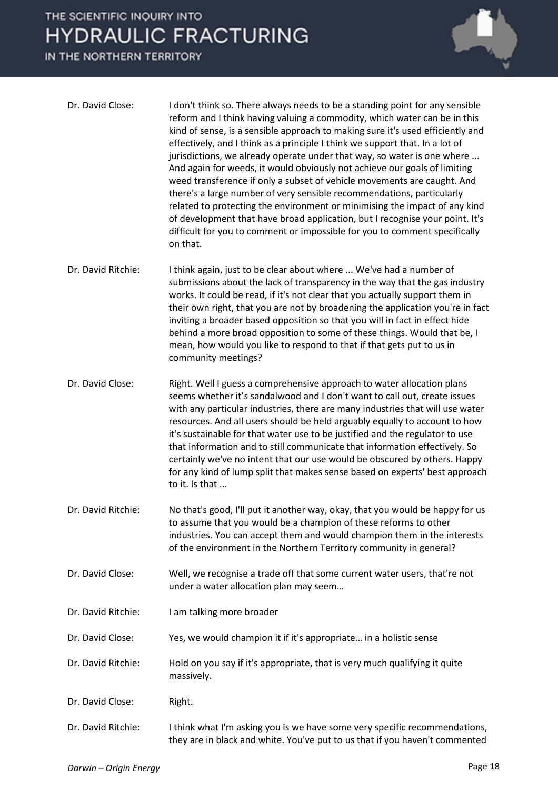IN THE NORTHERN TERRITORY



| Dr. David Close:   | I don't think so. There always needs to be a standing point for any sensible<br>reform and I think having valuing a commodity, which water can be in this<br>kind of sense, is a sensible approach to making sure it's used efficiently and<br>effectively, and I think as a principle I think we support that. In a lot of<br>jurisdictions, we already operate under that way, so water is one where<br>And again for weeds, it would obviously not achieve our goals of limiting<br>weed transference if only a subset of vehicle movements are caught. And<br>there's a large number of very sensible recommendations, particularly<br>related to protecting the environment or minimising the impact of any kind<br>of development that have broad application, but I recognise your point. It's<br>difficult for you to comment or impossible for you to comment specifically<br>on that. |
|--------------------|-------------------------------------------------------------------------------------------------------------------------------------------------------------------------------------------------------------------------------------------------------------------------------------------------------------------------------------------------------------------------------------------------------------------------------------------------------------------------------------------------------------------------------------------------------------------------------------------------------------------------------------------------------------------------------------------------------------------------------------------------------------------------------------------------------------------------------------------------------------------------------------------------|
| Dr. David Ritchie: | I think again, just to be clear about where  We've had a number of<br>submissions about the lack of transparency in the way that the gas industry<br>works. It could be read, if it's not clear that you actually support them in<br>their own right, that you are not by broadening the application you're in fact<br>inviting a broader based opposition so that you will in fact in effect hide<br>behind a more broad opposition to some of these things. Would that be, I<br>mean, how would you like to respond to that if that gets put to us in<br>community meetings?                                                                                                                                                                                                                                                                                                                  |
| Dr. David Close:   | Right. Well I guess a comprehensive approach to water allocation plans<br>seems whether it's sandalwood and I don't want to call out, create issues<br>with any particular industries, there are many industries that will use water<br>resources. And all users should be held arguably equally to account to how<br>it's sustainable for that water use to be justified and the regulator to use<br>that information and to still communicate that information effectively. So<br>certainly we've no intent that our use would be obscured by others. Happy<br>for any kind of lump split that makes sense based on experts' best approach<br>to it. Is that                                                                                                                                                                                                                                  |
| Dr. David Ritchie: | No that's good, I'll put it another way, okay, that you would be happy for us<br>to assume that you would be a champion of these reforms to other<br>industries. You can accept them and would champion them in the interests<br>of the environment in the Northern Territory community in general?                                                                                                                                                                                                                                                                                                                                                                                                                                                                                                                                                                                             |
| Dr. David Close:   | Well, we recognise a trade off that some current water users, that're not<br>under a water allocation plan may seem                                                                                                                                                                                                                                                                                                                                                                                                                                                                                                                                                                                                                                                                                                                                                                             |
| Dr. David Ritchie: | I am talking more broader                                                                                                                                                                                                                                                                                                                                                                                                                                                                                                                                                                                                                                                                                                                                                                                                                                                                       |
| Dr. David Close:   | Yes, we would champion it if it's appropriate in a holistic sense                                                                                                                                                                                                                                                                                                                                                                                                                                                                                                                                                                                                                                                                                                                                                                                                                               |
| Dr. David Ritchie: | Hold on you say if it's appropriate, that is very much qualifying it quite<br>massively.                                                                                                                                                                                                                                                                                                                                                                                                                                                                                                                                                                                                                                                                                                                                                                                                        |
| Dr. David Close:   | Right.                                                                                                                                                                                                                                                                                                                                                                                                                                                                                                                                                                                                                                                                                                                                                                                                                                                                                          |
| Dr. David Ritchie: | I think what I'm asking you is we have some very specific recommendations,<br>they are in black and white. You've put to us that if you haven't commented                                                                                                                                                                                                                                                                                                                                                                                                                                                                                                                                                                                                                                                                                                                                       |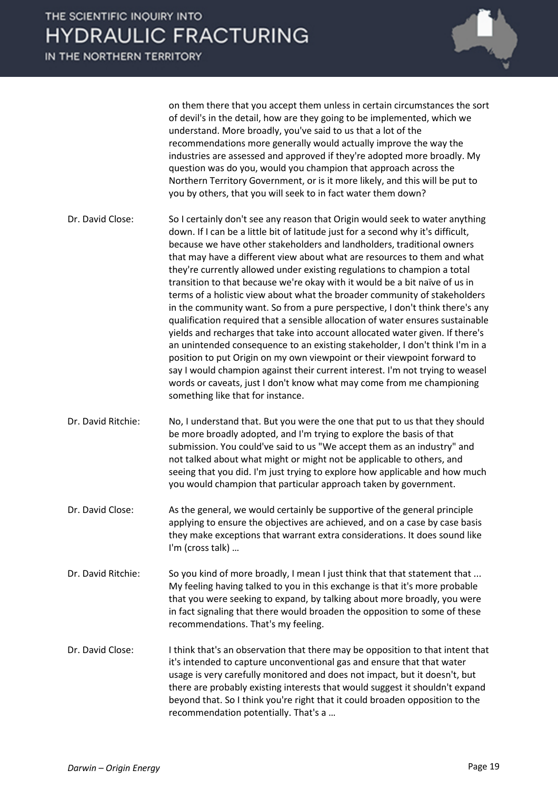

on them there that you accept them unless in certain circumstances the sort of devil's in the detail, how are they going to be implemented, which we understand. More broadly, you've said to us that a lot of the recommendations more generally would actually improve the way the industries are assessed and approved if they're adopted more broadly. My question was do you, would you champion that approach across the Northern Territory Government, or is it more likely, and this will be put to you by others, that you will seek to in fact water them down?

- Dr. David Close: So I certainly don't see any reason that Origin would seek to water anything down. If I can be a little bit of latitude just for a second why it's difficult, because we have other stakeholders and landholders, traditional owners that may have a different view about what are resources to them and what they're currently allowed under existing regulations to champion a total transition to that because we're okay with it would be a bit naïve of us in terms of a holistic view about what the broader community of stakeholders in the community want. So from a pure perspective, I don't think there's any qualification required that a sensible allocation of water ensures sustainable yields and recharges that take into account allocated water given. If there's an unintended consequence to an existing stakeholder, I don't think I'm in a position to put Origin on my own viewpoint or their viewpoint forward to say I would champion against their current interest. I'm not trying to weasel words or caveats, just I don't know what may come from me championing something like that for instance.
- Dr. David Ritchie: No, I understand that. But you were the one that put to us that they should be more broadly adopted, and I'm trying to explore the basis of that submission. You could've said to us "We accept them as an industry" and not talked about what might or might not be applicable to others, and seeing that you did. I'm just trying to explore how applicable and how much you would champion that particular approach taken by government.
- Dr. David Close: As the general, we would certainly be supportive of the general principle applying to ensure the objectives are achieved, and on a case by case basis they make exceptions that warrant extra considerations. It does sound like I'm (cross talk) …
- Dr. David Ritchie: So you kind of more broadly, I mean I just think that that statement that ... My feeling having talked to you in this exchange is that it's more probable that you were seeking to expand, by talking about more broadly, you were in fact signaling that there would broaden the opposition to some of these recommendations. That's my feeling.
- Dr. David Close: I think that's an observation that there may be opposition to that intent that it's intended to capture unconventional gas and ensure that that water usage is very carefully monitored and does not impact, but it doesn't, but there are probably existing interests that would suggest it shouldn't expand beyond that. So I think you're right that it could broaden opposition to the recommendation potentially. That's a …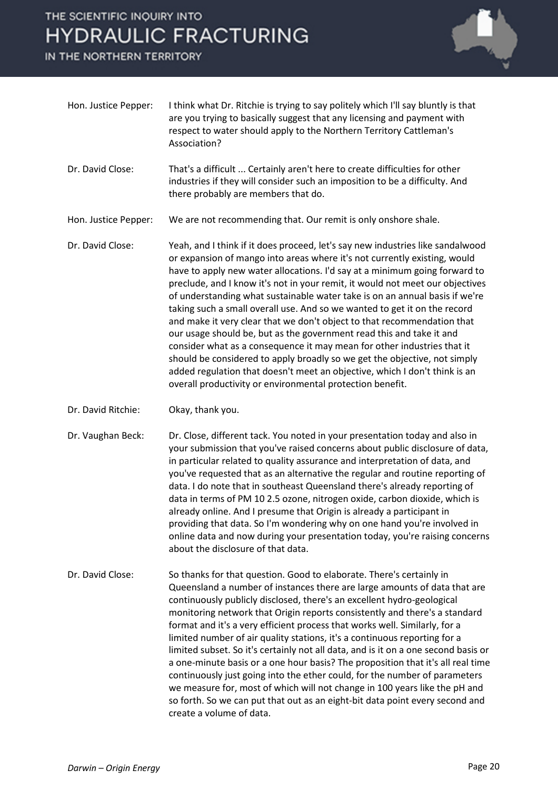IN THE NORTHERN TERRITORY



- Hon. Justice Pepper: I think what Dr. Ritchie is trying to say politely which I'll say bluntly is that are you trying to basically suggest that any licensing and payment with respect to water should apply to the Northern Territory Cattleman's Association?
- Dr. David Close: That's a difficult ... Certainly aren't here to create difficulties for other industries if they will consider such an imposition to be a difficulty. And there probably are members that do.

Hon. Justice Pepper: We are not recommending that. Our remit is only onshore shale.

- Dr. David Close: Yeah, and I think if it does proceed, let's say new industries like sandalwood or expansion of mango into areas where it's not currently existing, would have to apply new water allocations. I'd say at a minimum going forward to preclude, and I know it's not in your remit, it would not meet our objectives of understanding what sustainable water take is on an annual basis if we're taking such a small overall use. And so we wanted to get it on the record and make it very clear that we don't object to that recommendation that our usage should be, but as the government read this and take it and consider what as a consequence it may mean for other industries that it should be considered to apply broadly so we get the objective, not simply added regulation that doesn't meet an objective, which I don't think is an overall productivity or environmental protection benefit.
- Dr. David Ritchie: Okay, thank you.

Dr. Vaughan Beck: Dr. Close, different tack. You noted in your presentation today and also in your submission that you've raised concerns about public disclosure of data, in particular related to quality assurance and interpretation of data, and you've requested that as an alternative the regular and routine reporting of data. I do note that in southeast Queensland there's already reporting of data in terms of PM 10 2.5 ozone, nitrogen oxide, carbon dioxide, which is already online. And I presume that Origin is already a participant in providing that data. So I'm wondering why on one hand you're involved in online data and now during your presentation today, you're raising concerns about the disclosure of that data.

Dr. David Close: So thanks for that question. Good to elaborate. There's certainly in Queensland a number of instances there are large amounts of data that are continuously publicly disclosed, there's an excellent hydro-geological monitoring network that Origin reports consistently and there's a standard format and it's a very efficient process that works well. Similarly, for a limited number of air quality stations, it's a continuous reporting for a limited subset. So it's certainly not all data, and is it on a one second basis or a one-minute basis or a one hour basis? The proposition that it's all real time continuously just going into the ether could, for the number of parameters we measure for, most of which will not change in 100 years like the pH and so forth. So we can put that out as an eight-bit data point every second and create a volume of data.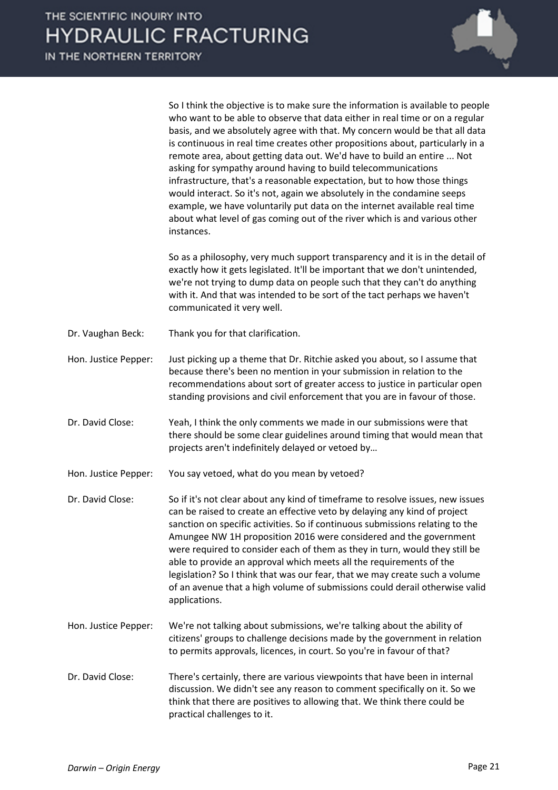So I think the objective is to make sure the information is available to people who want to be able to observe that data either in real time or on a regular basis, and we absolutely agree with that. My concern would be that all data is continuous in real time creates other propositions about, particularly in a remote area, about getting data out. We'd have to build an entire ... Not asking for sympathy around having to build telecommunications infrastructure, that's a reasonable expectation, but to how those things would interact. So it's not, again we absolutely in the condamine seeps example, we have voluntarily put data on the internet available real time about what level of gas coming out of the river which is and various other

So as a philosophy, very much support transparency and it is in the detail of exactly how it gets legislated. It'll be important that we don't unintended, we're not trying to dump data on people such that they can't do anything with it. And that was intended to be sort of the tact perhaps we haven't communicated it very well.

Dr. Vaughan Beck: Thank you for that clarification.

instances.

- Hon. Justice Pepper: Just picking up a theme that Dr. Ritchie asked you about, so I assume that because there's been no mention in your submission in relation to the recommendations about sort of greater access to justice in particular open standing provisions and civil enforcement that you are in favour of those.
- Dr. David Close: Yeah, I think the only comments we made in our submissions were that there should be some clear guidelines around timing that would mean that projects aren't indefinitely delayed or vetoed by…

Hon. Justice Pepper: You say vetoed, what do you mean by vetoed?

Dr. David Close: So if it's not clear about any kind of timeframe to resolve issues, new issues can be raised to create an effective veto by delaying any kind of project sanction on specific activities. So if continuous submissions relating to the Amungee NW 1H proposition 2016 were considered and the government were required to consider each of them as they in turn, would they still be able to provide an approval which meets all the requirements of the legislation? So I think that was our fear, that we may create such a volume of an avenue that a high volume of submissions could derail otherwise valid applications.

- Hon. Justice Pepper: We're not talking about submissions, we're talking about the ability of citizens' groups to challenge decisions made by the government in relation to permits approvals, licences, in court. So you're in favour of that?
- Dr. David Close: There's certainly, there are various viewpoints that have been in internal discussion. We didn't see any reason to comment specifically on it. So we think that there are positives to allowing that. We think there could be practical challenges to it.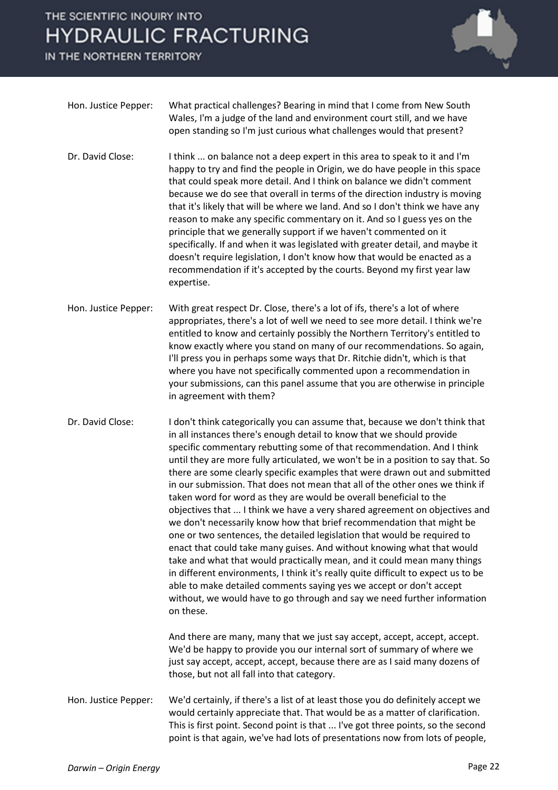IN THE NORTHERN TERRITORY



| Hon. Justice Pepper: . | What practical challenges? Bearing in mind that I come from New South   |
|------------------------|-------------------------------------------------------------------------|
|                        | Wales, I'm a judge of the land and environment court still, and we have |
|                        | open standing so I'm just curious what challenges would that present?   |

- Dr. David Close: I think ... on balance not a deep expert in this area to speak to it and I'm happy to try and find the people in Origin, we do have people in this space that could speak more detail. And I think on balance we didn't comment because we do see that overall in terms of the direction industry is moving that it's likely that will be where we land. And so I don't think we have any reason to make any specific commentary on it. And so I guess yes on the principle that we generally support if we haven't commented on it specifically. If and when it was legislated with greater detail, and maybe it doesn't require legislation, I don't know how that would be enacted as a recommendation if it's accepted by the courts. Beyond my first year law expertise.
- Hon. Justice Pepper: With great respect Dr. Close, there's a lot of ifs, there's a lot of where appropriates, there's a lot of well we need to see more detail. I think we're entitled to know and certainly possibly the Northern Territory's entitled to know exactly where you stand on many of our recommendations. So again, I'll press you in perhaps some ways that Dr. Ritchie didn't, which is that where you have not specifically commented upon a recommendation in your submissions, can this panel assume that you are otherwise in principle in agreement with them?
- Dr. David Close: I don't think categorically you can assume that, because we don't think that in all instances there's enough detail to know that we should provide specific commentary rebutting some of that recommendation. And I think until they are more fully articulated, we won't be in a position to say that. So there are some clearly specific examples that were drawn out and submitted in our submission. That does not mean that all of the other ones we think if taken word for word as they are would be overall beneficial to the objectives that ... I think we have a very shared agreement on objectives and we don't necessarily know how that brief recommendation that might be one or two sentences, the detailed legislation that would be required to enact that could take many guises. And without knowing what that would take and what that would practically mean, and it could mean many things in different environments, I think it's really quite difficult to expect us to be able to make detailed comments saying yes we accept or don't accept without, we would have to go through and say we need further information on these.

And there are many, many that we just say accept, accept, accept, accept. We'd be happy to provide you our internal sort of summary of where we just say accept, accept, accept, because there are as I said many dozens of those, but not all fall into that category.

Hon. Justice Pepper: We'd certainly, if there's a list of at least those you do definitely accept we would certainly appreciate that. That would be as a matter of clarification. This is first point. Second point is that ... I've got three points, so the second point is that again, we've had lots of presentations now from lots of people,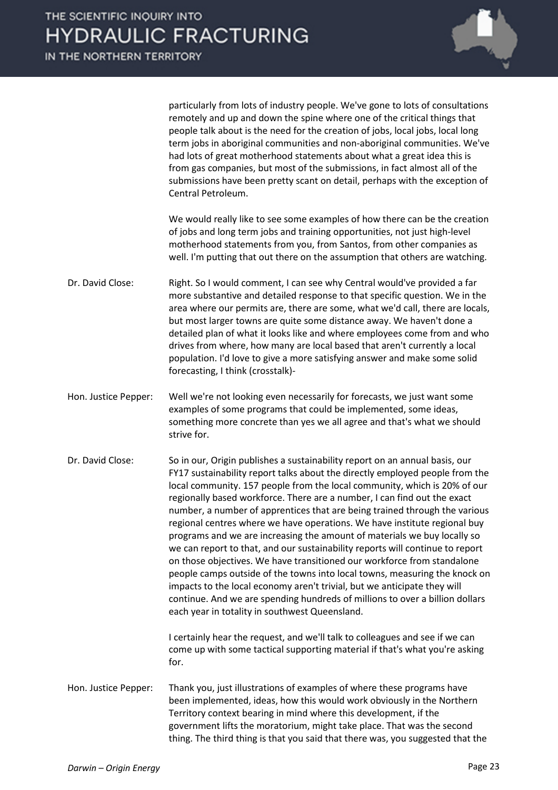

particularly from lots of industry people. We've gone to lots of consultations remotely and up and down the spine where one of the critical things that people talk about is the need for the creation of jobs, local jobs, local long term jobs in aboriginal communities and non-aboriginal communities. We've had lots of great motherhood statements about what a great idea this is from gas companies, but most of the submissions, in fact almost all of the submissions have been pretty scant on detail, perhaps with the exception of Central Petroleum.

We would really like to see some examples of how there can be the creation of jobs and long term jobs and training opportunities, not just high-level motherhood statements from you, from Santos, from other companies as well. I'm putting that out there on the assumption that others are watching.

- Dr. David Close: Right. So I would comment, I can see why Central would've provided a far more substantive and detailed response to that specific question. We in the area where our permits are, there are some, what we'd call, there are locals, but most larger towns are quite some distance away. We haven't done a detailed plan of what it looks like and where employees come from and who drives from where, how many are local based that aren't currently a local population. I'd love to give a more satisfying answer and make some solid forecasting, I think (crosstalk)-
- Hon. Justice Pepper: Well we're not looking even necessarily for forecasts, we just want some examples of some programs that could be implemented, some ideas, something more concrete than yes we all agree and that's what we should strive for.

Dr. David Close: So in our, Origin publishes a sustainability report on an annual basis, our FY17 sustainability report talks about the directly employed people from the local community. 157 people from the local community, which is 20% of our regionally based workforce. There are a number, I can find out the exact number, a number of apprentices that are being trained through the various regional centres where we have operations. We have institute regional buy programs and we are increasing the amount of materials we buy locally so we can report to that, and our sustainability reports will continue to report on those objectives. We have transitioned our workforce from standalone people camps outside of the towns into local towns, measuring the knock on impacts to the local economy aren't trivial, but we anticipate they will continue. And we are spending hundreds of millions to over a billion dollars each year in totality in southwest Queensland.

> I certainly hear the request, and we'll talk to colleagues and see if we can come up with some tactical supporting material if that's what you're asking for.

Hon. Justice Pepper: Thank you, just illustrations of examples of where these programs have been implemented, ideas, how this would work obviously in the Northern Territory context bearing in mind where this development, if the government lifts the moratorium, might take place. That was the second thing. The third thing is that you said that there was, you suggested that the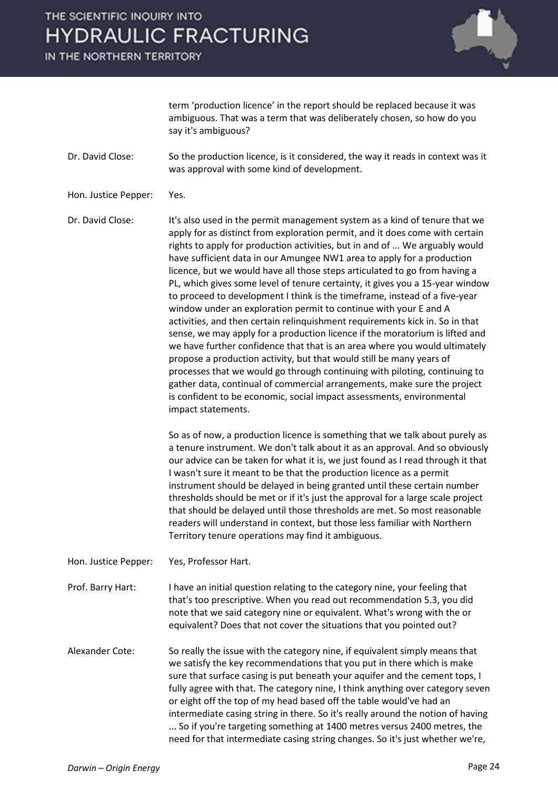IN THE NORTHERN TERRITORY



term 'production licence' in the report should be replaced because it was ambiguous. That was a term that was deliberately chosen, so how do you say it's ambiguous?

Dr. David Close: So the production licence, is it considered, the way it reads in context was it was approval with some kind of development.

Hon. Justice Pepper: Yes.

Dr. David Close: It's also used in the permit management system as a kind of tenure that we apply for as distinct from exploration permit, and it does come with certain rights to apply for production activities, but in and of ... We arguably would have sufficient data in our Amungee NW1 area to apply for a production licence, but we would have all those steps articulated to go from having a PL, which gives some level of tenure certainty, it gives you a 15-year window to proceed to development I think is the timeframe, instead of a five-year window under an exploration permit to continue with your E and A activities, and then certain relinquishment requirements kick in. So in that sense, we may apply for a production licence if the moratorium is lifted and we have further confidence that that is an area where you would ultimately propose a production activity, but that would still be many years of processes that we would go through continuing with piloting, continuing to gather data, continual of commercial arrangements, make sure the project is confident to be economic, social impact assessments, environmental impact statements.

> So as of now, a production licence is something that we talk about purely as a tenure instrument. We don't talk about it as an approval. And so obviously our advice can be taken for what it is, we just found as I read through it that I wasn't sure it meant to be that the production licence as a permit instrument should be delayed in being granted until these certain number thresholds should be met or if it's just the approval for a large scale project that should be delayed until those thresholds are met. So most reasonable readers will understand in context, but those less familiar with Northern Territory tenure operations may find it ambiguous.

Hon. Justice Pepper: Yes, Professor Hart.

Prof. Barry Hart: I have an initial question relating to the category nine, your feeling that that's too prescriptive. When you read out recommendation 5.3, you did note that we said category nine or equivalent. What's wrong with the or equivalent? Does that not cover the situations that you pointed out?

Alexander Cote: So really the issue with the category nine, if equivalent simply means that we satisfy the key recommendations that you put in there which is make sure that surface casing is put beneath your aquifer and the cement tops, I fully agree with that. The category nine, I think anything over category seven or eight off the top of my head based off the table would've had an intermediate casing string in there. So it's really around the notion of having ... So if you're targeting something at 1400 metres versus 2400 metres, the need for that intermediate casing string changes. So it's just whether we're,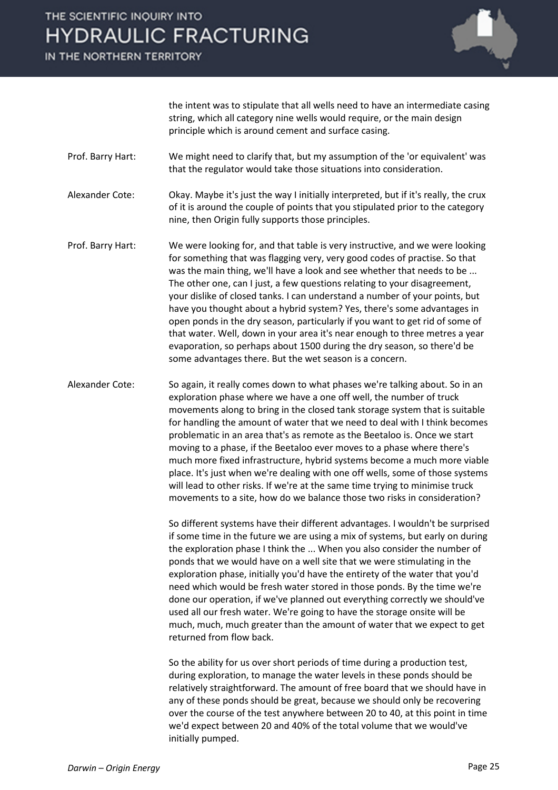IN THE NORTHERN TERRITORY



the intent was to stipulate that all wells need to have an intermediate casing string, which all category nine wells would require, or the main design principle which is around cement and surface casing.

Prof. Barry Hart: We might need to clarify that, but my assumption of the 'or equivalent' was that the regulator would take those situations into consideration.

Alexander Cote: Okay. Maybe it's just the way I initially interpreted, but if it's really, the crux of it is around the couple of points that you stipulated prior to the category nine, then Origin fully supports those principles.

Prof. Barry Hart: We were looking for, and that table is very instructive, and we were looking for something that was flagging very, very good codes of practise. So that was the main thing, we'll have a look and see whether that needs to be ... The other one, can I just, a few questions relating to your disagreement, your dislike of closed tanks. I can understand a number of your points, but have you thought about a hybrid system? Yes, there's some advantages in open ponds in the dry season, particularly if you want to get rid of some of that water. Well, down in your area it's near enough to three metres a year evaporation, so perhaps about 1500 during the dry season, so there'd be some advantages there. But the wet season is a concern.

Alexander Cote: So again, it really comes down to what phases we're talking about. So in an exploration phase where we have a one off well, the number of truck movements along to bring in the closed tank storage system that is suitable for handling the amount of water that we need to deal with I think becomes problematic in an area that's as remote as the Beetaloo is. Once we start moving to a phase, if the Beetaloo ever moves to a phase where there's much more fixed infrastructure, hybrid systems become a much more viable place. It's just when we're dealing with one off wells, some of those systems will lead to other risks. If we're at the same time trying to minimise truck movements to a site, how do we balance those two risks in consideration?

> So different systems have their different advantages. I wouldn't be surprised if some time in the future we are using a mix of systems, but early on during the exploration phase I think the ... When you also consider the number of ponds that we would have on a well site that we were stimulating in the exploration phase, initially you'd have the entirety of the water that you'd need which would be fresh water stored in those ponds. By the time we're done our operation, if we've planned out everything correctly we should've used all our fresh water. We're going to have the storage onsite will be much, much, much greater than the amount of water that we expect to get returned from flow back.

> So the ability for us over short periods of time during a production test, during exploration, to manage the water levels in these ponds should be relatively straightforward. The amount of free board that we should have in any of these ponds should be great, because we should only be recovering over the course of the test anywhere between 20 to 40, at this point in time we'd expect between 20 and 40% of the total volume that we would've initially pumped.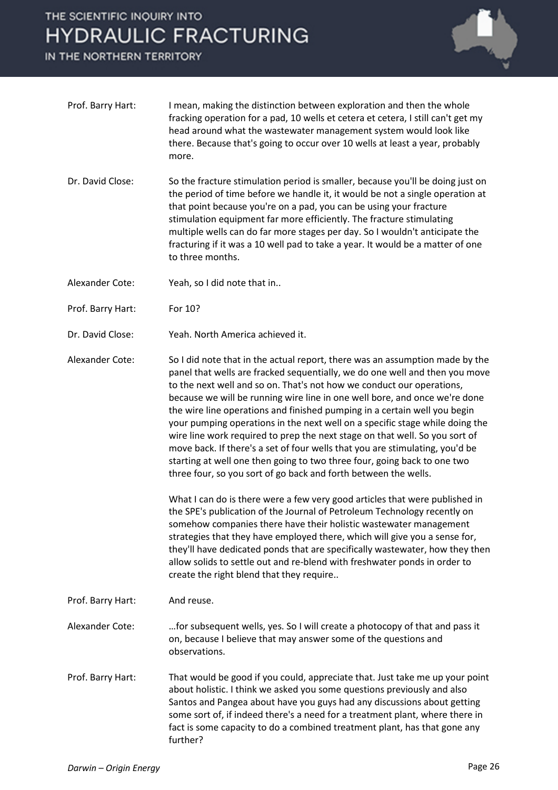IN THE NORTHERN TERRITORY



- Prof. Barry Hart: I mean, making the distinction between exploration and then the whole fracking operation for a pad, 10 wells et cetera et cetera, I still can't get my head around what the wastewater management system would look like there. Because that's going to occur over 10 wells at least a year, probably more.
- Dr. David Close: So the fracture stimulation period is smaller, because you'll be doing just on the period of time before we handle it, it would be not a single operation at that point because you're on a pad, you can be using your fracture stimulation equipment far more efficiently. The fracture stimulating multiple wells can do far more stages per day. So I wouldn't anticipate the fracturing if it was a 10 well pad to take a year. It would be a matter of one to three months.

Alexander Cote: Yeah, so I did note that in..

- Prof. Barry Hart: For 10?
- Dr. David Close: Yeah. North America achieved it.
- Alexander Cote: So I did note that in the actual report, there was an assumption made by the panel that wells are fracked sequentially, we do one well and then you move to the next well and so on. That's not how we conduct our operations, because we will be running wire line in one well bore, and once we're done the wire line operations and finished pumping in a certain well you begin your pumping operations in the next well on a specific stage while doing the wire line work required to prep the next stage on that well. So you sort of move back. If there's a set of four wells that you are stimulating, you'd be starting at well one then going to two three four, going back to one two three four, so you sort of go back and forth between the wells.

What I can do is there were a few very good articles that were published in the SPE's publication of the Journal of Petroleum Technology recently on somehow companies there have their holistic wastewater management strategies that they have employed there, which will give you a sense for, they'll have dedicated ponds that are specifically wastewater, how they then allow solids to settle out and re-blend with freshwater ponds in order to create the right blend that they require..

- Prof. Barry Hart: And reuse.
- Alexander Cote: …for subsequent wells, yes. So I will create a photocopy of that and pass it on, because I believe that may answer some of the questions and observations.
- Prof. Barry Hart: That would be good if you could, appreciate that. Just take me up your point about holistic. I think we asked you some questions previously and also Santos and Pangea about have you guys had any discussions about getting some sort of, if indeed there's a need for a treatment plant, where there in fact is some capacity to do a combined treatment plant, has that gone any further?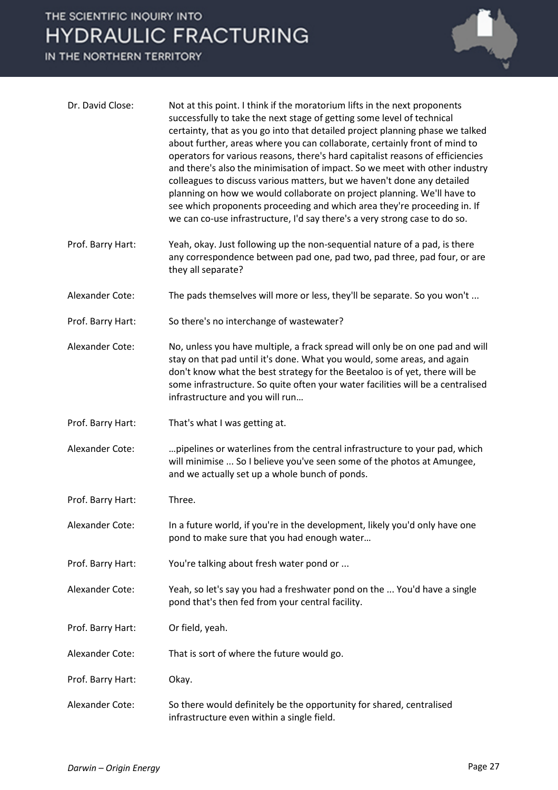IN THE NORTHERN TERRITORY



| Dr. David Close:  | Not at this point. I think if the moratorium lifts in the next proponents<br>successfully to take the next stage of getting some level of technical<br>certainty, that as you go into that detailed project planning phase we talked<br>about further, areas where you can collaborate, certainly front of mind to<br>operators for various reasons, there's hard capitalist reasons of efficiencies<br>and there's also the minimisation of impact. So we meet with other industry<br>colleagues to discuss various matters, but we haven't done any detailed<br>planning on how we would collaborate on project planning. We'll have to<br>see which proponents proceeding and which area they're proceeding in. If<br>we can co-use infrastructure, I'd say there's a very strong case to do so. |
|-------------------|-----------------------------------------------------------------------------------------------------------------------------------------------------------------------------------------------------------------------------------------------------------------------------------------------------------------------------------------------------------------------------------------------------------------------------------------------------------------------------------------------------------------------------------------------------------------------------------------------------------------------------------------------------------------------------------------------------------------------------------------------------------------------------------------------------|
| Prof. Barry Hart: | Yeah, okay. Just following up the non-sequential nature of a pad, is there<br>any correspondence between pad one, pad two, pad three, pad four, or are<br>they all separate?                                                                                                                                                                                                                                                                                                                                                                                                                                                                                                                                                                                                                        |
| Alexander Cote:   | The pads themselves will more or less, they'll be separate. So you won't                                                                                                                                                                                                                                                                                                                                                                                                                                                                                                                                                                                                                                                                                                                            |
| Prof. Barry Hart: | So there's no interchange of wastewater?                                                                                                                                                                                                                                                                                                                                                                                                                                                                                                                                                                                                                                                                                                                                                            |
| Alexander Cote:   | No, unless you have multiple, a frack spread will only be on one pad and will<br>stay on that pad until it's done. What you would, some areas, and again<br>don't know what the best strategy for the Beetaloo is of yet, there will be<br>some infrastructure. So quite often your water facilities will be a centralised<br>infrastructure and you will run                                                                                                                                                                                                                                                                                                                                                                                                                                       |
| Prof. Barry Hart: | That's what I was getting at.                                                                                                                                                                                                                                                                                                                                                                                                                                                                                                                                                                                                                                                                                                                                                                       |
| Alexander Cote:   | pipelines or waterlines from the central infrastructure to your pad, which<br>will minimise  So I believe you've seen some of the photos at Amungee,<br>and we actually set up a whole bunch of ponds.                                                                                                                                                                                                                                                                                                                                                                                                                                                                                                                                                                                              |
| Prof. Barry Hart: | Three.                                                                                                                                                                                                                                                                                                                                                                                                                                                                                                                                                                                                                                                                                                                                                                                              |
| Alexander Cote:   | In a future world, if you're in the development, likely you'd only have one<br>pond to make sure that you had enough water                                                                                                                                                                                                                                                                                                                                                                                                                                                                                                                                                                                                                                                                          |
| Prof. Barry Hart: | You're talking about fresh water pond or                                                                                                                                                                                                                                                                                                                                                                                                                                                                                                                                                                                                                                                                                                                                                            |
| Alexander Cote:   | Yeah, so let's say you had a freshwater pond on the  You'd have a single<br>pond that's then fed from your central facility.                                                                                                                                                                                                                                                                                                                                                                                                                                                                                                                                                                                                                                                                        |
| Prof. Barry Hart: | Or field, yeah.                                                                                                                                                                                                                                                                                                                                                                                                                                                                                                                                                                                                                                                                                                                                                                                     |
| Alexander Cote:   | That is sort of where the future would go.                                                                                                                                                                                                                                                                                                                                                                                                                                                                                                                                                                                                                                                                                                                                                          |
| Prof. Barry Hart: | Okay.                                                                                                                                                                                                                                                                                                                                                                                                                                                                                                                                                                                                                                                                                                                                                                                               |
| Alexander Cote:   | So there would definitely be the opportunity for shared, centralised<br>infrastructure even within a single field.                                                                                                                                                                                                                                                                                                                                                                                                                                                                                                                                                                                                                                                                                  |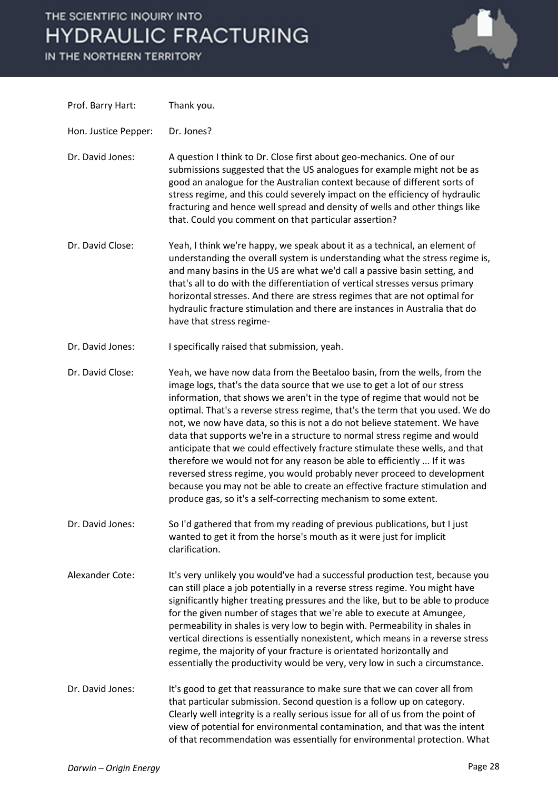IN THE NORTHERN TERRITORY



| Prof. Barry Hart:    | Thank you.                                                                                                                                                                                                                                                                                                                                                                                                                                                                                                                                                                                                                                                                                                                                                                                                                                                              |
|----------------------|-------------------------------------------------------------------------------------------------------------------------------------------------------------------------------------------------------------------------------------------------------------------------------------------------------------------------------------------------------------------------------------------------------------------------------------------------------------------------------------------------------------------------------------------------------------------------------------------------------------------------------------------------------------------------------------------------------------------------------------------------------------------------------------------------------------------------------------------------------------------------|
| Hon. Justice Pepper: | Dr. Jones?                                                                                                                                                                                                                                                                                                                                                                                                                                                                                                                                                                                                                                                                                                                                                                                                                                                              |
| Dr. David Jones:     | A question I think to Dr. Close first about geo-mechanics. One of our<br>submissions suggested that the US analogues for example might not be as<br>good an analogue for the Australian context because of different sorts of<br>stress regime, and this could severely impact on the efficiency of hydraulic<br>fracturing and hence well spread and density of wells and other things like<br>that. Could you comment on that particular assertion?                                                                                                                                                                                                                                                                                                                                                                                                                   |
| Dr. David Close:     | Yeah, I think we're happy, we speak about it as a technical, an element of<br>understanding the overall system is understanding what the stress regime is,<br>and many basins in the US are what we'd call a passive basin setting, and<br>that's all to do with the differentiation of vertical stresses versus primary<br>horizontal stresses. And there are stress regimes that are not optimal for<br>hydraulic fracture stimulation and there are instances in Australia that do<br>have that stress regime-                                                                                                                                                                                                                                                                                                                                                       |
| Dr. David Jones:     | I specifically raised that submission, yeah.                                                                                                                                                                                                                                                                                                                                                                                                                                                                                                                                                                                                                                                                                                                                                                                                                            |
| Dr. David Close:     | Yeah, we have now data from the Beetaloo basin, from the wells, from the<br>image logs, that's the data source that we use to get a lot of our stress<br>information, that shows we aren't in the type of regime that would not be<br>optimal. That's a reverse stress regime, that's the term that you used. We do<br>not, we now have data, so this is not a do not believe statement. We have<br>data that supports we're in a structure to normal stress regime and would<br>anticipate that we could effectively fracture stimulate these wells, and that<br>therefore we would not for any reason be able to efficiently  If it was<br>reversed stress regime, you would probably never proceed to development<br>because you may not be able to create an effective fracture stimulation and<br>produce gas, so it's a self-correcting mechanism to some extent. |
| Dr. David Jones:     | So I'd gathered that from my reading of previous publications, but I just<br>wanted to get it from the horse's mouth as it were just for implicit<br>clarification.                                                                                                                                                                                                                                                                                                                                                                                                                                                                                                                                                                                                                                                                                                     |
| Alexander Cote:      | It's very unlikely you would've had a successful production test, because you<br>can still place a job potentially in a reverse stress regime. You might have<br>significantly higher treating pressures and the like, but to be able to produce<br>for the given number of stages that we're able to execute at Amungee,<br>permeability in shales is very low to begin with. Permeability in shales in<br>vertical directions is essentially nonexistent, which means in a reverse stress<br>regime, the majority of your fracture is orientated horizontally and<br>essentially the productivity would be very, very low in such a circumstance.                                                                                                                                                                                                                     |
| Dr. David Jones:     | It's good to get that reassurance to make sure that we can cover all from<br>that particular submission. Second question is a follow up on category.<br>Clearly well integrity is a really serious issue for all of us from the point of<br>view of potential for environmental contamination, and that was the intent<br>of that recommendation was essentially for environmental protection. What                                                                                                                                                                                                                                                                                                                                                                                                                                                                     |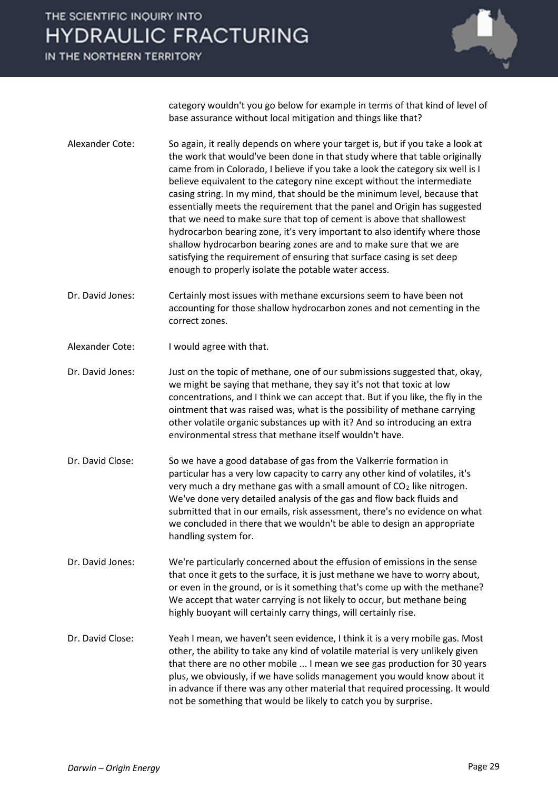IN THE NORTHERN TERRITORY



category wouldn't you go below for example in terms of that kind of level of base assurance without local mitigation and things like that?

- Alexander Cote: So again, it really depends on where your target is, but if you take a look at the work that would've been done in that study where that table originally came from in Colorado, I believe if you take a look the category six well is I believe equivalent to the category nine except without the intermediate casing string. In my mind, that should be the minimum level, because that essentially meets the requirement that the panel and Origin has suggested that we need to make sure that top of cement is above that shallowest hydrocarbon bearing zone, it's very important to also identify where those shallow hydrocarbon bearing zones are and to make sure that we are satisfying the requirement of ensuring that surface casing is set deep enough to properly isolate the potable water access.
- Dr. David Jones: Certainly most issues with methane excursions seem to have been not accounting for those shallow hydrocarbon zones and not cementing in the correct zones.
- Alexander Cote: I would agree with that.
- Dr. David Jones: Just on the topic of methane, one of our submissions suggested that, okay, we might be saying that methane, they say it's not that toxic at low concentrations, and I think we can accept that. But if you like, the fly in the ointment that was raised was, what is the possibility of methane carrying other volatile organic substances up with it? And so introducing an extra environmental stress that methane itself wouldn't have.
- Dr. David Close: So we have a good database of gas from the Valkerrie formation in particular has a very low capacity to carry any other kind of volatiles, it's very much a dry methane gas with a small amount of  $CO<sub>2</sub>$  like nitrogen. We've done very detailed analysis of the gas and flow back fluids and submitted that in our emails, risk assessment, there's no evidence on what we concluded in there that we wouldn't be able to design an appropriate handling system for.
- Dr. David Jones: We're particularly concerned about the effusion of emissions in the sense that once it gets to the surface, it is just methane we have to worry about, or even in the ground, or is it something that's come up with the methane? We accept that water carrying is not likely to occur, but methane being highly buoyant will certainly carry things, will certainly rise.
- Dr. David Close: Yeah I mean, we haven't seen evidence, I think it is a very mobile gas. Most other, the ability to take any kind of volatile material is very unlikely given that there are no other mobile ... I mean we see gas production for 30 years plus, we obviously, if we have solids management you would know about it in advance if there was any other material that required processing. It would not be something that would be likely to catch you by surprise.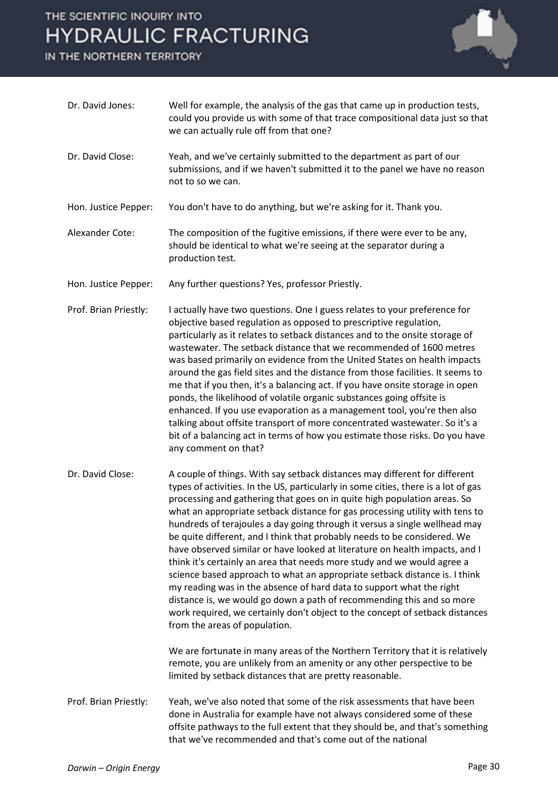IN THE NORTHERN TERRITORY



| Dr. David Jones:      | Well for example, the analysis of the gas that came up in production tests,<br>could you provide us with some of that trace compositional data just so that<br>we can actually rule off from that one?                                                                                                                                                                                                                                                                                                                                                                                                                                                                                                                                                                                                                                                                                                                                                                                                                                                                                                                                                        |
|-----------------------|---------------------------------------------------------------------------------------------------------------------------------------------------------------------------------------------------------------------------------------------------------------------------------------------------------------------------------------------------------------------------------------------------------------------------------------------------------------------------------------------------------------------------------------------------------------------------------------------------------------------------------------------------------------------------------------------------------------------------------------------------------------------------------------------------------------------------------------------------------------------------------------------------------------------------------------------------------------------------------------------------------------------------------------------------------------------------------------------------------------------------------------------------------------|
| Dr. David Close:      | Yeah, and we've certainly submitted to the department as part of our<br>submissions, and if we haven't submitted it to the panel we have no reason<br>not to so we can.                                                                                                                                                                                                                                                                                                                                                                                                                                                                                                                                                                                                                                                                                                                                                                                                                                                                                                                                                                                       |
| Hon. Justice Pepper:  | You don't have to do anything, but we're asking for it. Thank you.                                                                                                                                                                                                                                                                                                                                                                                                                                                                                                                                                                                                                                                                                                                                                                                                                                                                                                                                                                                                                                                                                            |
| Alexander Cote:       | The composition of the fugitive emissions, if there were ever to be any,<br>should be identical to what we're seeing at the separator during a<br>production test.                                                                                                                                                                                                                                                                                                                                                                                                                                                                                                                                                                                                                                                                                                                                                                                                                                                                                                                                                                                            |
| Hon. Justice Pepper:  | Any further questions? Yes, professor Priestly.                                                                                                                                                                                                                                                                                                                                                                                                                                                                                                                                                                                                                                                                                                                                                                                                                                                                                                                                                                                                                                                                                                               |
| Prof. Brian Priestly: | I actually have two questions. One I guess relates to your preference for<br>objective based regulation as opposed to prescriptive regulation,<br>particularly as it relates to setback distances and to the onsite storage of<br>wastewater. The setback distance that we recommended of 1600 metres<br>was based primarily on evidence from the United States on health impacts<br>around the gas field sites and the distance from those facilities. It seems to<br>me that if you then, it's a balancing act. If you have onsite storage in open<br>ponds, the likelihood of volatile organic substances going offsite is<br>enhanced. If you use evaporation as a management tool, you're then also<br>talking about offsite transport of more concentrated wastewater. So it's a<br>bit of a balancing act in terms of how you estimate those risks. Do you have<br>any comment on that?                                                                                                                                                                                                                                                                |
| Dr. David Close:      | A couple of things. With say setback distances may different for different<br>types of activities. In the US, particularly in some cities, there is a lot of gas<br>processing and gathering that goes on in quite high population areas. So<br>what an appropriate setback distance for gas processing utility with tens to<br>hundreds of terajoules a day going through it versus a single wellhead may<br>be quite different, and I think that probably needs to be considered. We<br>have observed similar or have looked at literature on health impacts, and I<br>think it's certainly an area that needs more study and we would agree a<br>science based approach to what an appropriate setback distance is. I think<br>my reading was in the absence of hard data to support what the right<br>distance is, we would go down a path of recommending this and so more<br>work required, we certainly don't object to the concept of setback distances<br>from the areas of population.<br>We are fortunate in many areas of the Northern Territory that it is relatively<br>remote, you are unlikely from an amenity or any other perspective to be |
|                       | limited by setback distances that are pretty reasonable.                                                                                                                                                                                                                                                                                                                                                                                                                                                                                                                                                                                                                                                                                                                                                                                                                                                                                                                                                                                                                                                                                                      |
| Prof. Brian Priestly: | Yeah, we've also noted that some of the risk assessments that have been<br>done in Australia for example have not always considered some of these<br>offsite pathways to the full extent that they should be, and that's something<br>that we've recommended and that's come out of the national                                                                                                                                                                                                                                                                                                                                                                                                                                                                                                                                                                                                                                                                                                                                                                                                                                                              |